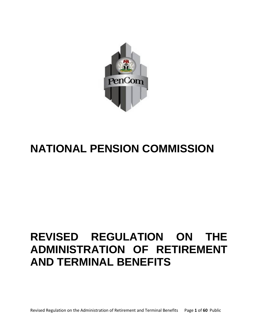

# **NATIONAL PENSION COMMISSION**

# **REVISED REGULATION ON THE ADMINISTRATION OF RETIREMENT AND TERMINAL BENEFITS**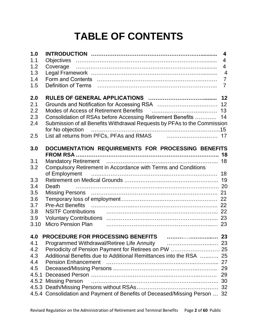# **TABLE OF CONTENTS**

| 1.0   |                                                                                         | $\overline{\mathbf{4}}$ |
|-------|-----------------------------------------------------------------------------------------|-------------------------|
| 1.1   |                                                                                         | $\overline{4}$          |
| 1.2   |                                                                                         | $\overline{4}$          |
| 1.3   |                                                                                         | $\overline{4}$          |
| 1.4   |                                                                                         | $\overline{7}$          |
| 1.5   | Definition of Terms (and the continuum continuum of Terms (and the continuum continuum) | $\overline{7}$          |
| 2.0   |                                                                                         | 12                      |
| 2.1   |                                                                                         | 12                      |
| 2.2   | Modes of Access of Retirement Benefits [10] Modes of Access of Retirement Benefits [13] |                         |
| 2.3   | Consolidation of RSAs before Accessing Retirement Benefits  14                          |                         |
| 2.4   | Submission of all Benefits Withdrawal Requests by PFAs to the Commission                |                         |
|       |                                                                                         |                         |
| 2.5   |                                                                                         |                         |
| 3.0   | DOCUMENTATION REQUIREMENTS FOR PROCESSING BENEFITS                                      |                         |
|       |                                                                                         |                         |
| 3.1   |                                                                                         | 18                      |
| 3.2   | Compulsory Retirement in Accordance with Terms and Conditions                           |                         |
|       |                                                                                         |                         |
| 3.3   |                                                                                         |                         |
| 3.4   |                                                                                         |                         |
| 3.5   |                                                                                         |                         |
| 3.6   |                                                                                         |                         |
| 3.7   |                                                                                         |                         |
| 3.8   | NSITF Contributions <b>constructs</b> 22                                                |                         |
| 3.9   |                                                                                         |                         |
| 3.10  | Micro Pension Plan (1990) 1996 Micro Pension Plan (1990) 1996                           |                         |
|       |                                                                                         |                         |
| 4.1   |                                                                                         |                         |
| 4.2   | Periodicity of Pension Payment for Retirees on PW  25                                   |                         |
| 4.3   | Additional Benefits due to Additional Remittances into the RSA                          | 25                      |
| 4.4   |                                                                                         | 27                      |
| 4.5   |                                                                                         | 29                      |
| 4.5.1 |                                                                                         | 29                      |
|       | 4.5.2 Missing Person                                                                    | 30                      |
|       |                                                                                         |                         |
|       | 4.5.4 Consolidation and Payment of Benefits of Deceased/Missing Person  32              |                         |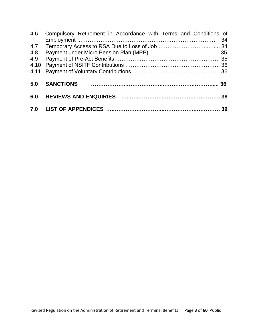| 4.6  | Compulsory Retirement in Accordance with Terms and Conditions of | -34 |
|------|------------------------------------------------------------------|-----|
| 4.7  |                                                                  |     |
| 4.8  |                                                                  |     |
| 4.9  |                                                                  |     |
|      |                                                                  |     |
| 4.11 |                                                                  |     |
| 5.0  | <b>SANCTIONS</b>                                                 |     |
| 6.0  |                                                                  |     |
|      |                                                                  |     |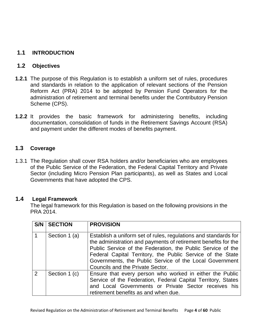# **1.1 INTRODUCTION**

# **1.2 Objectives**

- **1.2.1** The purpose of this Regulation is to establish a uniform set of rules, procedures and standards in relation to the application of relevant sections of the Pension Reform Act (PRA) 2014 to be adopted by Pension Fund Operators for the administration of retirement and terminal benefits under the Contributory Pension Scheme (CPS).
- **1.2.2** It provides the basic framework for administering benefits, including documentation, consolidation of funds in the Retirement Savings Account (RSA) and payment under the different modes of benefits payment.

# **1.3 Coverage**

1.3.1 The Regulation shall cover RSA holders and/or beneficiaries who are employees of the Public Service of the Federation, the Federal Capital Territory and Private Sector (including Micro Pension Plan participants), as well as States and Local Governments that have adopted the CPS.

## **1.4 Legal Framework**

The legal framework for this Regulation is based on the following provisions in the PRA 2014.

| S/N            | <b>SECTION</b> | <b>PROVISION</b>                                                                                                                                                                                                                                                                                                                                              |
|----------------|----------------|---------------------------------------------------------------------------------------------------------------------------------------------------------------------------------------------------------------------------------------------------------------------------------------------------------------------------------------------------------------|
|                | Section 1 (a)  | Establish a uniform set of rules, regulations and standards for<br>the administration and payments of retirement benefits for the<br>Public Service of the Federation, the Public Service of the<br>Federal Capital Territory, the Public Service of the State<br>Governments, the Public Service of the Local Government<br>Councils and the Private Sector. |
| $\overline{2}$ | Section 1 (c)  | Ensure that every person who worked in either the Public<br>Service of the Federation, Federal Capital Territory, States<br>and Local Governments or Private Sector receives his<br>retirement benefits as and when due.                                                                                                                                      |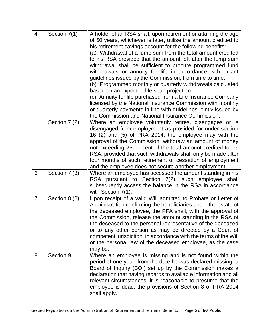| $\overline{4}$ | Section 7(1)  | A holder of an RSA shall, upon retirement or attaining the age<br>of 50 years, whichever is later, utilise the amount credited to<br>his retirement savings account for the following benefits:<br>(a) Withdrawal of a lump sum from the total amount credited<br>to his RSA provided that the amount left after the lump sum<br>withdrawal shall be sufficient to procure programmed fund<br>withdrawals or annuity for life in accordance with extant<br>guidelines issued by the Commission, from time to time.<br>(b) Programmed monthly or quarterly withdrawals calculated<br>based on an expected life span projection.<br>(c) Annuity for life purchased from a Life Insurance Company<br>licensed by the National Insurance Commission with monthly<br>or quarterly payments in line with guidelines jointly issued by<br>the Commission and National Insurance Commission. |
|----------------|---------------|--------------------------------------------------------------------------------------------------------------------------------------------------------------------------------------------------------------------------------------------------------------------------------------------------------------------------------------------------------------------------------------------------------------------------------------------------------------------------------------------------------------------------------------------------------------------------------------------------------------------------------------------------------------------------------------------------------------------------------------------------------------------------------------------------------------------------------------------------------------------------------------|
|                | Section 7 (2) | Where an employee voluntarily retires, disengages or is<br>disengaged from employment as provided for under section<br>16 (2) and (5) of PRA 2014, the employee may with the<br>approval of the Commission, withdraw an amount of money<br>not exceeding 25 percent of the total amount credited to his<br>RSA, provided that such withdrawals shall only be made after<br>four months of such retirement or cessation of employment<br>and the employee does not secure another employment.                                                                                                                                                                                                                                                                                                                                                                                         |
| 6              | Section 7 (3) | Where an employee has accessed the amount standing in his<br>RSA pursuant to Section 7(2), such employee<br>shall<br>subsequently access the balance in the RSA in accordance<br>with Section 7(1).                                                                                                                                                                                                                                                                                                                                                                                                                                                                                                                                                                                                                                                                                  |
| $\overline{7}$ | Section 8 (2) | Upon receipt of a valid Will admitted to Probate or Letter of<br>Administration confirming the beneficiaries under the estate of<br>the deceased employee, the PFA shall, with the approval of<br>the Commission, release the amount standing in the RSA of<br>the deceased to the personal representative of the deceased<br>or to any other person as may be directed by a Court of<br>competent jurisdiction, in accordance with the terms of the Will<br>or the personal law of the deceased employee, as the case<br>may be.                                                                                                                                                                                                                                                                                                                                                    |
| 8              | Section 9     | Where an employee is missing and is not found within the<br>period of one year, from the date he was declared missing, a<br>Board of Inquiry (BOI) set up by the Commission makes a<br>declaration that having regards to available information and all<br>relevant circumstances, it is reasonable to presume that the<br>employee is dead, the provisions of Section 8 of PRA 2014<br>shall apply.                                                                                                                                                                                                                                                                                                                                                                                                                                                                                 |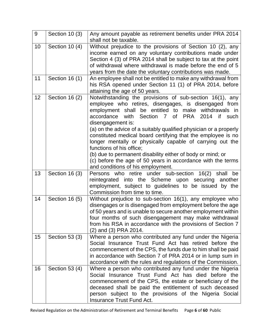| 9  | Section 10 (3) | Any amount payable as retirement benefits under PRA 2014<br>shall not be taxable.                                                                                                                                                                                                                                                                                                                                                                                                                                                                                                                                                                                      |
|----|----------------|------------------------------------------------------------------------------------------------------------------------------------------------------------------------------------------------------------------------------------------------------------------------------------------------------------------------------------------------------------------------------------------------------------------------------------------------------------------------------------------------------------------------------------------------------------------------------------------------------------------------------------------------------------------------|
| 10 | Section 10 (4) | Without prejudice to the provisions of Section 10 (2), any<br>income earned on any voluntary contributions made under<br>Section 4 (3) of PRA 2014 shall be subject to tax at the point<br>of withdrawal where withdrawal is made before the end of 5<br>years from the date the voluntary contributions was made.                                                                                                                                                                                                                                                                                                                                                     |
| 11 | Section 16 (1) | An employee shall not be entitled to make any withdrawal from<br>his RSA opened under Section 11 (1) of PRA 2014, before<br>attaining the age of 50 years.                                                                                                                                                                                                                                                                                                                                                                                                                                                                                                             |
| 12 | Section 16 (2) | Notwithstanding the provisions of sub-section 16(1), any<br>employee who retires, disengages, is disengaged from<br>employment shall be entitled to make withdrawals in<br><b>PRA</b><br>accordance<br>with<br>Section 7 of<br>2014<br>if<br>such<br>disengagement is:<br>(a) on the advice of a suitably qualified physician or a properly<br>constituted medical board certifying that the employee is no<br>longer mentally or physically capable of carrying out the<br>functions of his office;<br>(b) due to permanent disability either of body or mind; or<br>(c) before the age of 50 years in accordance with the terms<br>and conditions of his employment. |
| 13 | Section 16 (3) | Persons who retire under sub-section 16(2)<br>shall<br>be<br>reintegrated into the Scheme upon securing<br>another<br>employment, subject to guidelines to be issued by the<br>Commission from time to time.                                                                                                                                                                                                                                                                                                                                                                                                                                                           |
| 14 | Section 16 (5) | Without prejudice to sub-section 16(1), any employee who<br>disengages or is disengaged from employment before the age<br>of 50 years and is unable to secure another employment within<br>four months of such disengagement may make withdrawal<br>from his RSA in accordance with the provisions of Section 7<br>(2) and (3) PRA 2014.                                                                                                                                                                                                                                                                                                                               |
| 15 | Section 53 (3) | Where a person who contributed any fund under the Nigeria<br>Social Insurance Trust Fund Act has retired before the<br>commencement of the CPS, the funds due to him shall be paid<br>in accordance with Section 7 of PRA 2014 or in lump sum in<br>accordance with the rules and regulations of the Commission.                                                                                                                                                                                                                                                                                                                                                       |
| 16 | Section 53 (4) | Where a person who contributed any fund under the Nigeria<br>Social Insurance Trust Fund Act has died before the<br>commencement of the CPS, the estate or beneficiary of the<br>deceased shall be paid the entitlement of such deceased<br>person subject to the provisions of the Nigeria Social<br><b>Insurance Trust Fund Act.</b>                                                                                                                                                                                                                                                                                                                                 |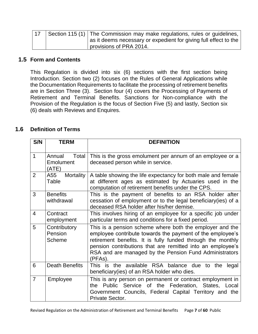| 17 | Section 115 (1) The Commission may make regulations, rules or guidelines, l |
|----|-----------------------------------------------------------------------------|
|    | as it deems necessary or expedient for giving full effect to the            |
|    | provisions of PRA 2014.                                                     |

# **1.5 Form and Contents**

This Regulation is divided into six (6) sections with the first section being Introduction. Section two (2) focuses on the Rules of General Applications while the Documentation Requirements to facilitate the processing of retirement benefits are in Section Three (3). Section four (4) covers the Processing of Payments of Retirement and Terminal Benefits. Sanctions for Non-compliance with the Provision of the Regulation is the focus of Section Five (5) and lastly, Section six (6) deals with Reviews and Enquires.

# **1.6 Definition of Terms**

| S/N            | <b>TERM</b>                                  | <b>DEFINITION</b>                                                                                                                                                                                                                                                                                                       |
|----------------|----------------------------------------------|-------------------------------------------------------------------------------------------------------------------------------------------------------------------------------------------------------------------------------------------------------------------------------------------------------------------------|
| $\mathbf{1}$   | Annual<br>Total<br><b>Emolument</b><br>(ATE) | This is the gross emolument per annum of an employee or a<br>deceased person while in service.                                                                                                                                                                                                                          |
| $\overline{2}$ | A55<br>Mortality<br>Table                    | A table showing the life expectancy for both male and female<br>at different ages as estimated by Actuaries used in the<br>computation of retirement benefits under the CPS.                                                                                                                                            |
| 3              | <b>Benefits</b><br>withdrawal                | This is the payment of benefits to an RSA holder after<br>cessation of employment or to the legal beneficiary(ies) of a<br>deceased RSA holder after his/her demise.                                                                                                                                                    |
| $\overline{4}$ | Contract<br>employment                       | This involves hiring of an employee for a specific job under<br>particular terms and conditions for a fixed period.                                                                                                                                                                                                     |
| 5              | Contributory<br>Pension<br><b>Scheme</b>     | This is a pension scheme where both the employer and the<br>employee contribute towards the payment of the employee's<br>retirement benefits. It is fully funded through the monthly<br>pension contributions that are remitted into an employee's<br>RSA and are managed by the Pension Fund Administrators<br>(PFAs). |
| 6              | <b>Death Benefits</b>                        | This is the available RSA balance due to the<br>legal<br>beneficiary (ies) of an RSA holder who dies.                                                                                                                                                                                                                   |
| $\overline{7}$ | Employee                                     | This is any person on permanent or contract employment in<br>Public Service of the Federation, States, Local<br>the<br>Government Councils, Federal Capital Territory and the<br>Private Sector.                                                                                                                        |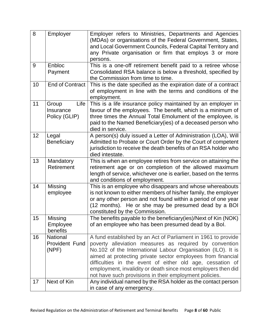| 8  | Employer                                    | Employer refers to Ministries, Departments and Agencies<br>(MDAs) or organisations of the Federal Government, States,<br>and Local Government Councils, Federal Capital Territory and<br>any Private organisation or firm that employs 3 or more<br>persons.                                                                                                                                                                                   |
|----|---------------------------------------------|------------------------------------------------------------------------------------------------------------------------------------------------------------------------------------------------------------------------------------------------------------------------------------------------------------------------------------------------------------------------------------------------------------------------------------------------|
| 9  | Enbloc<br>Payment                           | This is a one-off retirement benefit paid to a retiree whose<br>Consolidated RSA balance is below a threshold, specified by<br>the Commission from time to time.                                                                                                                                                                                                                                                                               |
| 10 | <b>End of Contract</b>                      | This is the date specified as the expiration date of a contract<br>of employment in line with the terms and conditions of the<br>employment.                                                                                                                                                                                                                                                                                                   |
| 11 | Life<br>Group<br>Insurance<br>Policy (GLIP) | This is a life insurance policy maintained by an employer in<br>favour of the employees. The benefit, which is a minimum of<br>three times the Annual Total Emolument of the employee, is<br>paid to the Named Beneficiary (ies) of a deceased person who<br>died in service.                                                                                                                                                                  |
| 12 | Legal<br><b>Beneficiary</b>                 | A person(s) duly issued a Letter of Administration (LOA), Will<br>Admitted to Probate or Court Order by the Court of competent<br>jurisdiction to receive the death benefits of an RSA holder who<br>died intestate.                                                                                                                                                                                                                           |
| 13 | Mandatory<br>Retirement                     | This is when an employee retires from service on attaining the<br>retirement age or on completion of the allowed maximum<br>length of service, whichever one is earlier, based on the terms<br>and conditions of employment.                                                                                                                                                                                                                   |
| 14 | <b>Missing</b><br>employee                  | This is an employee who disappears and whose whereabouts<br>is not known to either members of his/her family, the employer<br>or any other person and not found within a period of one year<br>(12 months). He or she may be presumed dead by a BOI<br>constituted by the Commission.                                                                                                                                                          |
| 15 | Missing<br>Employee<br>benefits             | The benefits payable to the beneficiary(ies)/Next of Kin (NOK)<br>of an employee who has been presumed dead by a Bol.                                                                                                                                                                                                                                                                                                                          |
| 16 | <b>National</b><br>Provident Fund<br>(NPF)  | A fund established by an Act of Parliament in 1961 to provide<br>poverty alleviation measures as required by convention<br>No.102 of the International Labour Organisation (ILO). It is<br>aimed at protecting private sector employees from financial<br>difficulties in the event of either old age, cessation of<br>employment, invalidity or death since most employers then did<br>not have such provisions in their employment policies. |
| 17 | Next of Kin                                 | Any individual named by the RSA holder as the contact person<br>in case of any emergency.                                                                                                                                                                                                                                                                                                                                                      |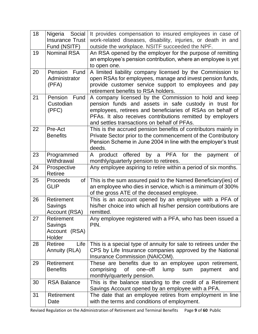| 18 | Nigeria Social<br><b>Insurance Trust</b><br>Fund (NSITF) | It provides compensation to insured employees in case of<br>work-related diseases, disability, injuries, or death in and<br>outside the workplace. NSITF succeeded the NPF.                                                                                                               |
|----|----------------------------------------------------------|-------------------------------------------------------------------------------------------------------------------------------------------------------------------------------------------------------------------------------------------------------------------------------------------|
| 19 | <b>Nominal RSA</b>                                       | An RSA opened by the employer for the purpose of remitting<br>an employee's pension contribution, where an employee is yet<br>to open one.                                                                                                                                                |
| 20 | Pension Fund<br>Administrator<br>(PFA)                   | A limited liability company licensed by the Commission to<br>open RSAs for employees, manage and invest pension funds,<br>provide customer service support to employees and pay<br>retirement benefits to RSA holders.                                                                    |
| 21 | Pension<br>Fund<br>Custodian<br>(PFC)                    | A company licensed by the Commission to hold and keep<br>pension funds and assets in safe custody in trust for<br>employees, retirees and beneficiaries of RSAs on behalf of<br>PFAs. It also receives contributions remitted by employers<br>and settles transactions on behalf of PFAs. |
| 22 | Pre-Act<br><b>Benefits</b>                               | This is the accrued pension benefits of contributors mainly in<br>Private Sector prior to the commencement of the Contributory<br>Pension Scheme in June 2004 in line with the employer's trust<br>deeds.                                                                                 |
| 23 | Programmed<br>Withdrawal                                 | offered<br>by a PFA for<br>product<br>the<br><b>of</b><br>A<br>payment<br>monthly/quarterly pension to retirees.                                                                                                                                                                          |
| 24 | Prospective<br>Retiree                                   | Any employee aspiring to retire within a period of six months.                                                                                                                                                                                                                            |
| 25 | Proceeds<br>of<br><b>GLIP</b>                            | This is the sum assured paid to the Named Beneficiary (ies) of<br>an employee who dies in service, which is a minimum of 300%<br>of the gross ATE of the deceased employee.                                                                                                               |
| 26 | Retirement<br>Savings<br>Account (RSA)                   | This is an account opened by an employee with a PFA of<br>his/her choice into which all his/her pension contributions are<br>remitted.                                                                                                                                                    |
| 27 | Retirement<br>Savings<br>Account (RSA)<br>Holder         | Any employee registered with a PFA, who has been issued a<br>PIN.                                                                                                                                                                                                                         |
| 28 | Life<br>Retiree<br>Annuity (RLA)                         | This is a special type of annuity for sale to retirees under the<br>CPS by Life Insurance companies approved by the National<br>Insurance Commission (NAICOM).                                                                                                                            |
| 29 | Retirement<br><b>Benefits</b>                            | These are benefits due to an employee upon retirement,<br>comprising<br><b>of</b><br>one-off<br>lump<br>payment<br>sum<br>and<br>monthly/quarterly pension.                                                                                                                               |
| 30 | <b>RSA Balance</b>                                       | This is the balance standing to the credit of a Retirement<br>Savings Account opened by an employee with a PFA.                                                                                                                                                                           |
| 31 | Retirement<br>Date                                       | The date that an employee retires from employment in line<br>with the terms and conditions of employment.                                                                                                                                                                                 |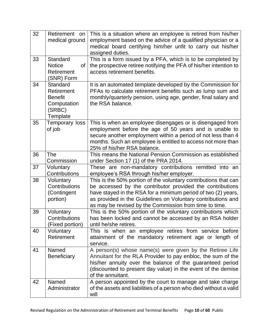| 32 | Retirement on<br>medical ground                                               | This is a situation where an employee is retired from his/her<br>employment based on the advice of a qualified physician or a<br>medical board certifying him/her unfit to carry out his/her<br>assigned duties.                                                                                                        |
|----|-------------------------------------------------------------------------------|-------------------------------------------------------------------------------------------------------------------------------------------------------------------------------------------------------------------------------------------------------------------------------------------------------------------------|
| 33 | Standard<br><b>Notice</b><br>0f<br>Retirement<br>(SNR) Form                   | This is a form issued by a PFA, which is to be completed by<br>the prospective retiree notifying the PFA of his/her intention to<br>access retirement benefits.                                                                                                                                                         |
| 34 | Standard<br>Retirement<br><b>Benefit</b><br>Computation<br>(SRBC)<br>Template | It is an automated template developed by the Commission for<br>PFAs to calculate retirement benefits such as lump sum and<br>monthly/quarterly pension, using age, gender, final salary and<br>the RSA balance.                                                                                                         |
| 35 | Temporary loss<br>of job                                                      | This is when an employee disengages or is disengaged from<br>employment before the age of 50 years and is unable to<br>secure another employment within a period of not less than 4<br>months. Such an employee is entitled to access not more than<br>25% of his/her RSA balance.                                      |
| 36 | <b>The</b><br>Commission                                                      | This means the National Pension Commission as established<br>under Section 17 (1) of the PRA 2014.                                                                                                                                                                                                                      |
| 37 | Voluntary<br>Contributions                                                    | These are non-mandatory contributions remitted into an<br>employee's RSA through his/her employer.                                                                                                                                                                                                                      |
| 38 | Voluntary<br>Contributions<br>(Contingent<br>portion)                         | This is the 50% portion of the voluntary contributions that can<br>be accessed by the contributor provided the contributions<br>have stayed in the RSA for a minimum period of two (2) years,<br>as provided in the Guidelines on Voluntary contributions and<br>as may be revised by the Commission from time to time. |
| 39 | Voluntary<br>Contributions<br>(Fixed portion)                                 | This is the 50% portion of the voluntary contributions which<br>has been locked and cannot be accessed by an RSA holder<br>until he/she retires.                                                                                                                                                                        |
| 40 | Voluntary<br>Retirement                                                       | This is when an employee retires from service before<br>attainment of the mandatory retirement age or length of<br>service.                                                                                                                                                                                             |
| 41 | Named<br><b>Beneficiary</b>                                                   | A person(s) whose name(s) were given by the Retiree Life<br>Annuitant for the RLA Provider to pay enbloc, the sum of the<br>his/her annuity over the balance of the guaranteed period<br>(discounted to present day value) in the event of the demise<br>of the annuitant.                                              |
| 42 | Named<br>Administrator                                                        | A person appointed by the court to manage and take charge<br>of the assets and liabilities of a person who died without a valid<br>will                                                                                                                                                                                 |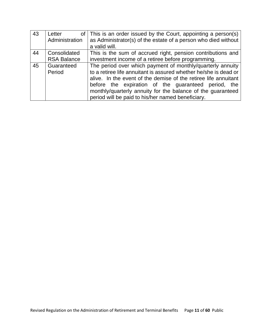| 43 | Letter             | of This is an order issued by the Court, appointing a person(s)  |
|----|--------------------|------------------------------------------------------------------|
|    | Administration     | as Administrator(s) of the estate of a person who died without   |
|    |                    | a valid will.                                                    |
| 44 | Consolidated       | This is the sum of accrued right, pension contributions and      |
|    | <b>RSA Balance</b> | investment income of a retiree before programming.               |
| 45 | Guaranteed         | The period over which payment of monthly/quarterly annuity       |
|    | Period             | to a retiree life annuitant is assured whether he/she is dead or |
|    |                    | alive. In the event of the demise of the retiree life annuitant  |
|    |                    | before the expiration of the guaranteed period, the              |
|    |                    | monthly/quarterly annuity for the balance of the guaranteed      |
|    |                    | period will be paid to his/her named beneficiary.                |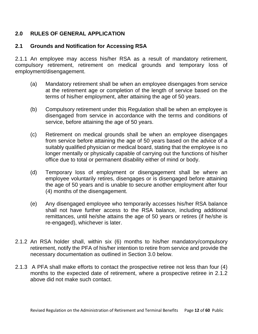# **2.0 RULES OF GENERAL APPLICATION**

# **2.1 Grounds and Notification for Accessing RSA**

2.1.1 An employee may access his/her RSA as a result of mandatory retirement, compulsory retirement, retirement on medical grounds and temporary loss of employment/disengagement.

- (a) Mandatory retirement shall be when an employee disengages from service at the retirement age or completion of the length of service based on the terms of his/her employment, after attaining the age of 50 years.
- (b) Compulsory retirement under this Regulation shall be when an employee is disengaged from service in accordance with the terms and conditions of service, before attaining the age of 50 years.
- (c) Retirement on medical grounds shall be when an employee disengages from service before attaining the age of 50 years based on the advice of a suitably qualified physician or medical board, stating that the employee is no longer mentally or physically capable of carrying out the functions of his/her office due to total or permanent disability either of mind or body.
- (d) Temporary loss of employment or disengagement shall be where an employee voluntarily retires, disengages or is disengaged before attaining the age of 50 years and is unable to secure another employment after four (4) months of the disengagement.
- (e) Any disengaged employee who temporarily accesses his/her RSA balance shall not have further access to the RSA balance, including additional remittances, until he/she attains the age of 50 years or retires (if he/she is re-engaged), whichever is later.
- 2.1.2 An RSA holder shall, within six (6) months to his/her mandatory/compulsory retirement, notify the PFA of his/her intention to retire from service and provide the necessary documentation as outlined in Section 3.0 below.
- 2.1.3 A PFA shall make efforts to contact the prospective retiree not less than four (4) months to the expected date of retirement, where a prospective retiree in 2.1.2 above did not make such contact.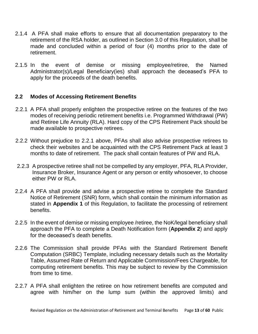- 2.1.4 A PFA shall make efforts to ensure that all documentation preparatory to the retirement of the RSA holder, as outlined in Section 3.0 of this Regulation, shall be made and concluded within a period of four (4) months prior to the date of retirement.
- 2.1.5 In the event of demise or missing employee/retiree, the Named Administrator(s)/Legal Beneficiary(ies) shall approach the deceased's PFA to apply for the proceeds of the death benefits.

## **2.2 Modes of Accessing Retirement Benefits**

- 2.2.1 A PFA shall properly enlighten the prospective retiree on the features of the two modes of receiving periodic retirement benefits i.e. Programmed Withdrawal (PW) and Retiree Life Annuity (RLA). Hard copy of the CPS Retirement Pack should be made available to prospective retirees.
- 2.2.2 Without prejudice to 2.2.1 above, PFAs shall also advise prospective retirees to check their websites and be acquainted with the CPS Retirement Pack at least 3 months to date of retirement. The pack shall contain features of PW and RLA.
- 2.2.3 A prospective retiree shall not be compelled by any employer, PFA, RLA Provider, Insurance Broker, Insurance Agent or any person or entity whosoever, to choose either PW or RLA.
- 2.2.4 A PFA shall provide and advise a prospective retiree to complete the Standard Notice of Retirement (SNR) form, which shall contain the minimum information as stated in **Appendix 1** of this Regulation, to facilitate the processing of retirement benefits.
- 2.2.5 In the event of demise or missing employee /retiree, the NoK/legal beneficiary shall approach the PFA to complete a Death Notification form (**Appendix 2**) and apply for the deceased's death benefits.
- 2.2.6 The Commission shall provide PFAs with the Standard Retirement Benefit Computation (SRBC) Template, including necessary details such as the Mortality Table, Assumed Rate of Return and Applicable Commission/Fees Chargeable, for computing retirement benefits. This may be subject to review by the Commission from time to time.
- 2.2.7 A PFA shall enlighten the retiree on how retirement benefits are computed and agree with him/her on the lump sum (within the approved limits) and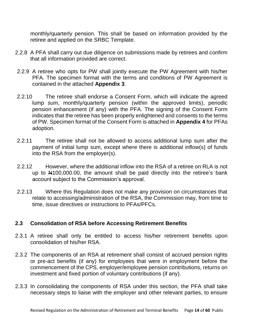monthly/quarterly pension. This shall be based on information provided by the retiree and applied on the SRBC Template.

- 2.2.8 A PFA shall carry out due diligence on submissions made by retirees and confirm that all information provided are correct.
- 2.2.9 A retiree who opts for PW shall jointly execute the PW Agreement with his/her PFA. The specimen format with the terms and conditions of PW Agreement is contained in the attached **Appendix 3**.
- 2.2.10 The retiree shall endorse a Consent Form, which will indicate the agreed lump sum, monthly/quarterly pension (within the approved limits), periodic pension enhancement (if any) with the PFA. The signing of the Consent Form indicates that the retiree has been properly enlightened and consents to the terms of PW. Specimen format of the Consent Form is attached in **Appendix 4** for PFAs adoption.
- 2.2.11 The retiree shall not be allowed to access additional lump sum after the payment of initial lump sum, except where there is additional inflow(s) of funds into the RSA from the employer(s).
- 2.2.12 However, where the additional inflow into the RSA of a retiree on RLA is not up to  $\mu$ 100,000.00, the amount shall be paid directly into the retiree's bank account subject to the Commission's approval.
- 2.2.13 Where this Regulation does not make any provision on circumstances that relate to accessing/administration of the RSA, the Commission may, from time to time, issue directives or instructions to PFAs/PFCs.

# **2.3 Consolidation of RSA before Accessing Retirement Benefits**

- 2.3.1 A retiree shall only be entitled to access his/her retirement benefits upon consolidation of his/her RSA.
- 2.3.2 The components of an RSA at retirement shall consist of accrued pension rights or pre-act benefits (if any) for employees that were in employment before the commencement of the CPS, employer/employee pension contributions, returns on investment and fixed portion of voluntary contributions (if any).
- 2.3.3 In consolidating the components of RSA under this section, the PFA shall take necessary steps to liaise with the employer and other relevant parties, to ensure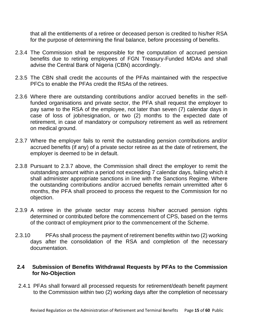that all the entitlements of a retiree or deceased person is credited to his/her RSA for the purpose of determining the final balance, before processing of benefits.

- 2.3.4 The Commission shall be responsible for the computation of accrued pension benefits due to retiring employees of FGN Treasury-Funded MDAs and shall advise the Central Bank of Nigeria (CBN) accordingly.
- 2.3.5 The CBN shall credit the accounts of the PFAs maintained with the respective PFCs to enable the PFAs credit the RSAs of the retirees.
- 2.3.6 Where there are outstanding contributions and/or accrued benefits in the selffunded organisations and private sector, the PFA shall request the employer to pay same to the RSA of the employee, not later than seven (7) calendar days in case of loss of job/resignation, or two (2) months to the expected date of retirement, in case of mandatory or compulsory retirement as well as retirement on medical ground.
- 2.3.7 Where the employer fails to remit the outstanding pension contributions and/or accrued benefits (if any) of a private sector retiree as at the date of retirement, the employer is deemed to be in default.
- 2.3.8 Pursuant to 2.3.7 above, the Commission shall direct the employer to remit the outstanding amount within a period not exceeding 7 calendar days, failing which it shall administer appropriate sanctions in line with the Sanctions Regime. Where the outstanding contributions and/or accrued benefits remain unremitted after 6 months, the PFA shall proceed to process the request to the Commission for no objection.
- 2.3.9 A retiree in the private sector may access his/her accrued pension rights determined or contributed before the commencement of CPS, based on the terms of the contract of employment prior to the commencement of the Scheme.
- 2.3.10 PFAs shall process the payment of retirement benefits within two (2) working days after the consolidation of the RSA and completion of the necessary documentation.

## **2.4 Submission of Benefits Withdrawal Requests by PFAs to the Commission for No-Objection**

2.4.1 PFAs shall forward all processed requests for retirement/death benefit payment to the Commission within two (2) working days after the completion of necessary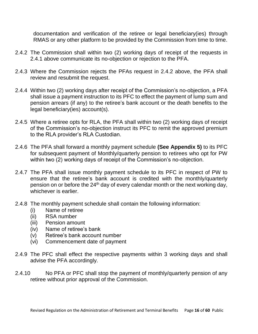documentation and verification of the retiree or legal beneficiary(ies) through RMAS or any other platform to be provided by the Commission from time to time.

- 2.4.2 The Commission shall within two (2) working days of receipt of the requests in 2.4.1 above communicate its no-objection or rejection to the PFA.
- 2.4.3 Where the Commission rejects the PFAs request in 2.4.2 above, the PFA shall review and resubmit the request.
- 2.4.4 Within two (2) working days after receipt of the Commission's no-objection, a PFA shall issue a payment instruction to its PFC to effect the payment of lump sum and pension arrears (if any) to the retiree's bank account or the death benefits to the legal beneficiary(ies) account(s).
- 2.4.5 Where a retiree opts for RLA, the PFA shall within two (2) working days of receipt of the Commission's no-objection instruct its PFC to remit the approved premium to the RLA provider's RLA Custodian.
- 2.4.6 The PFA shall forward a monthly payment schedule **(See Appendix 5)** to its PFC for subsequent payment of Monthly/quarterly pension to retirees who opt for PW within two (2) working days of receipt of the Commission's no-objection.
- 2.4.7 The PFA shall issue monthly payment schedule to its PFC in respect of PW to ensure that the retiree's bank account is credited with the monthly/quarterly pension on or before the 24<sup>th</sup> day of every calendar month or the next working day, whichever is earlier.
- 2.4.8 The monthly payment schedule shall contain the following information:
	- (i) Name of retiree
	- (ii) RSA number
	- (iii) Pension amount
	- (iv) Name of retiree's bank
	- (v) Retiree's bank account number
	- (vi) Commencement date of payment
- 2.4.9 The PFC shall effect the respective payments within 3 working days and shall advise the PFA accordingly.
- 2.4.10 No PFA or PFC shall stop the payment of monthly/quarterly pension of any retiree without prior approval of the Commission.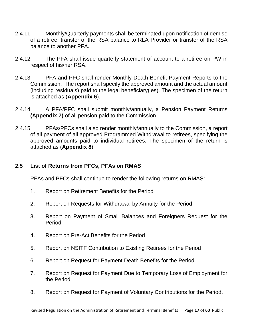- 2.4.11 Monthly/Quarterly payments shall be terminated upon notification of demise of a retiree, transfer of the RSA balance to RLA Provider or transfer of the RSA balance to another PFA.
- 2.4.12 The PFA shall issue quarterly statement of account to a retiree on PW in respect of his/her RSA.
- 2.4.13 PFA and PFC shall render Monthly Death Benefit Payment Reports to the Commission. The report shall specify the approved amount and the actual amount (including residuals) paid to the legal beneficiary(ies). The specimen of the return is attached as (**Appendix 6**).
- 2.4.14 A PFA/PFC shall submit monthly/annually, a Pension Payment Returns **(Appendix 7)** of all pension paid to the Commission.
- 2.4.15 PFAs/PFCs shall also render monthly/annually to the Commission, a report of all payment of all approved Programmed Withdrawal to retirees, specifying the approved amounts paid to individual retirees. The specimen of the return is attached as (**Appendix 8**).

# **2.5 List of Returns from PFCs, PFAs on RMAS**

PFAs and PFCs shall continue to render the following returns on RMAS:

- 1. Report on Retirement Benefits for the Period
- 2. Report on Requests for Withdrawal by Annuity for the Period
- 3. Report on Payment of Small Balances and Foreigners Request for the Period
- 4. Report on Pre-Act Benefits for the Period
- 5. Report on NSITF Contribution to Existing Retirees for the Period
- 6. Report on Request for Payment Death Benefits for the Period
- 7. Report on Request for Payment Due to Temporary Loss of Employment for the Period
- 8. Report on Request for Payment of Voluntary Contributions for the Period.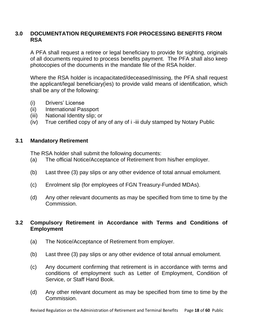# **3.0 DOCUMENTATION REQUIREMENTS FOR PROCESSING BENEFITS FROM RSA**

A PFA shall request a retiree or legal beneficiary to provide for sighting, originals of all documents required to process benefits payment. The PFA shall also keep photocopies of the documents in the mandate file of the RSA holder.

Where the RSA holder is incapacitated/deceased/missing, the PFA shall request the applicant/legal beneficiary(ies) to provide valid means of identification, which shall be any of the following:

- (i) Drivers' License
- (ii) International Passport
- (iii) National Identity slip; or
- (iv) True certified copy of any of any of i -iii duly stamped by Notary Public

## **3.1 Mandatory Retirement**

The RSA holder shall submit the following documents:

- (a) The official Notice/Acceptance of Retirement from his/her employer.
- (b) Last three (3) pay slips or any other evidence of total annual emolument.
- (c) Enrolment slip (for employees of FGN Treasury-Funded MDAs).
- (d) Any other relevant documents as may be specified from time to time by the Commission.

# **3.2 Compulsory Retirement in Accordance with Terms and Conditions of Employment**

- (a) The Notice/Acceptance of Retirement from employer.
- (b) Last three (3) pay slips or any other evidence of total annual emolument.
- (c) Any document confirming that retirement is in accordance with terms and conditions of employment such as Letter of Employment, Condition of Service, or Staff Hand Book.
- (d) Any other relevant document as may be specified from time to time by the Commission.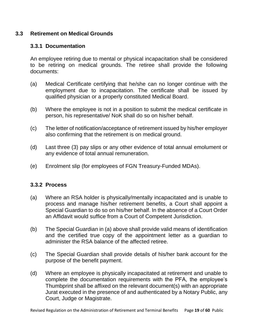## **3.3 Retirement on Medical Grounds**

## **3.3.1 Documentation**

An employee retiring due to mental or physical incapacitation shall be considered to be retiring on medical grounds. The retiree shall provide the following documents:

- (a) Medical Certificate certifying that he/she can no longer continue with the employment due to incapacitation. The certificate shall be issued by qualified physician or a properly constituted Medical Board.
- (b) Where the employee is not in a position to submit the medical certificate in person, his representative/ NoK shall do so on his/her behalf.
- (c) The letter of notification/acceptance of retirement issued by his/her employer also confirming that the retirement is on medical ground.
- (d) Last three (3) pay slips or any other evidence of total annual emolument or any evidence of total annual remuneration.
- (e) Enrolment slip (for employees of FGN Treasury-Funded MDAs).

## **3.3.2 Process**

- (a) Where an RSA holder is physically/mentally incapacitated and is unable to process and manage his/her retirement benefits, a Court shall appoint a Special Guardian to do so on his/her behalf. In the absence of a Court Order an Affidavit would suffice from a Court of Competent Jurisdiction.
- (b) The Special Guardian in (a) above shall provide valid means of identification and the certified true copy of the appointment letter as a guardian to administer the RSA balance of the affected retiree.
- (c) The Special Guardian shall provide details of his/her bank account for the purpose of the benefit payment.
- (d) Where an employee is physically incapacitated at retirement and unable to complete the documentation requirements with the PFA, the employee's Thumbprint shall be affixed on the relevant document(s) with an appropriate Jurat executed in the presence of and authenticated by a Notary Public, any Court, Judge or Magistrate.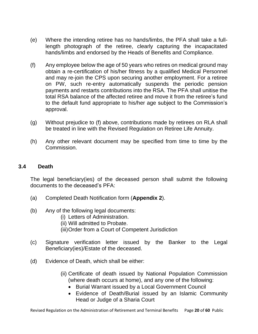- (e) Where the intending retiree has no hands/limbs, the PFA shall take a fulllength photograph of the retiree, clearly capturing the incapacitated hands/limbs and endorsed by the Heads of Benefits and Compliance.
- (f) Any employee below the age of 50 years who retires on medical ground may obtain a re-certification of his/her fitness by a qualified Medical Personnel and may re-join the CPS upon securing another employment. For a retiree on PW, such re-entry automatically suspends the periodic pension payments and restarts contributions into the RSA. The PFA shall unitise the total RSA balance of the affected retiree and move it from the retiree's fund to the default fund appropriate to his/her age subject to the Commission's approval.
- (g) Without prejudice to (f) above, contributions made by retirees on RLA shall be treated in line with the Revised Regulation on Retiree Life Annuity.
- (h) Any other relevant document may be specified from time to time by the Commission.

## **3.4 Death**

The legal beneficiary(ies) of the deceased person shall submit the following documents to the deceased's PFA:

- (a) Completed Death Notification form (**Appendix 2**).
- (b) Any of the following legal documents:
	- (i) Letters of Administration.
	- (ii) Will admitted to Probate.
	- (iii)Order from a Court of Competent Jurisdiction
- (c) Signature verification letter issued by the Banker to the Legal Beneficiary(ies)/Estate of the deceased.
- (d) Evidence of Death, which shall be either:
	- (ii) Certificate of death issued by National Population Commission (where death occurs at home), and any one of the following:
		- Burial Warrant issued by a Local Government Council
		- Evidence of Death/Burial issued by an Islamic Community Head or Judge of a Sharia Court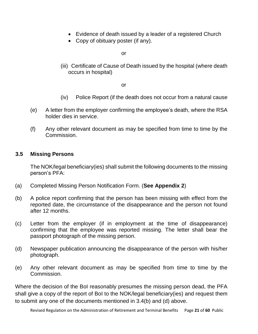- Evidence of death issued by a leader of a registered Church
- Copy of obituary poster (if any).

or

(iii) Certificate of Cause of Death issued by the hospital (where death occurs in hospital)

or

- (iv) Police Report (if the death does not occur from a natural cause
- (e) A letter from the employer confirming the employee's death, where the RSA holder dies in service.
- (f) Any other relevant document as may be specified from time to time by the Commission.

# **3.5 Missing Persons**

The NOK/legal beneficiary(ies) shall submit the following documents to the missing person's PFA:

- (a) Completed Missing Person Notification Form. (**See Appendix 2**)
- (b) A police report confirming that the person has been missing with effect from the reported date, the circumstance of the disappearance and the person not found after 12 months.
- (c) Letter from the employer (if in employment at the time of disappearance) confirming that the employee was reported missing. The letter shall bear the passport photograph of the missing person.
- (d) Newspaper publication announcing the disappearance of the person with his/her photograph.
- (e) Any other relevant document as may be specified from time to time by the Commission.

Where the decision of the BoI reasonably presumes the missing person dead, the PFA shall give a copy of the report of BoI to the NOK/legal beneficiary(ies) and request them to submit any one of the documents mentioned in 3.4(b) and (d) above.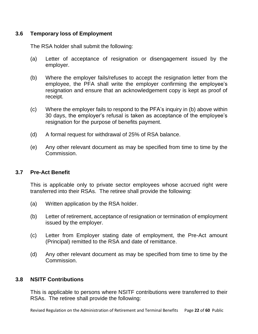## **3.6 Temporary loss of Employment**

The RSA holder shall submit the following:

- (a) Letter of acceptance of resignation or disengagement issued by the employer.
- (b) Where the employer fails/refuses to accept the resignation letter from the employee, the PFA shall write the employer confirming the employee's resignation and ensure that an acknowledgement copy is kept as proof of receipt.
- (c) Where the employer fails to respond to the PFA's inquiry in (b) above within 30 days, the employer's refusal is taken as acceptance of the employee's resignation for the purpose of benefits payment.
- (d) A formal request for withdrawal of 25% of RSA balance.
- (e) Any other relevant document as may be specified from time to time by the Commission.

# **3.7 Pre-Act Benefit**

This is applicable only to private sector employees whose accrued right were transferred into their RSAs. The retiree shall provide the following:

- (a) Written application by the RSA holder.
- (b) Letter of retirement, acceptance of resignation or termination of employment issued by the employer.
- (c) Letter from Employer stating date of employment, the Pre-Act amount (Principal) remitted to the RSA and date of remittance.
- (d) Any other relevant document as may be specified from time to time by the Commission.

# **3.8 NSITF Contributions**

This is applicable to persons where NSITF contributions were transferred to their RSAs. The retiree shall provide the following: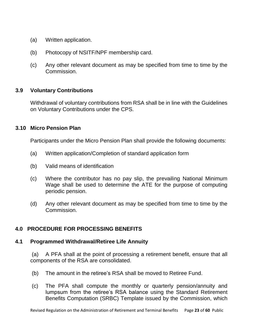- (a) Written application.
- (b) Photocopy of NSITF/NPF membership card.
- (c) Any other relevant document as may be specified from time to time by the Commission.

## **3.9 Voluntary Contributions**

Withdrawal of voluntary contributions from RSA shall be in line with the Guidelines on Voluntary Contributions under the CPS.

## **3.10 Micro Pension Plan**

Participants under the Micro Pension Plan shall provide the following documents:

- (a) Written application/Completion of standard application form
- (b) Valid means of identification
- (c) Where the contributor has no pay slip, the prevailing National Minimum Wage shall be used to determine the ATE for the purpose of computing periodic pension.
- (d) Any other relevant document as may be specified from time to time by the Commission.

# **4.0 PROCEDURE FOR PROCESSING BENEFITS**

## **4.1 Programmed Withdrawal/Retiree Life Annuity**

(a) A PFA shall at the point of processing a retirement benefit, ensure that all components of the RSA are consolidated.

- (b) The amount in the retiree's RSA shall be moved to Retiree Fund.
- (c) The PFA shall compute the monthly or quarterly pension/annuity and lumpsum from the retiree's RSA balance using the Standard Retirement Benefits Computation (SRBC) Template issued by the Commission, which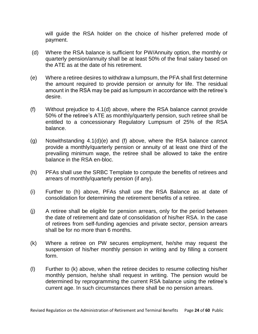will guide the RSA holder on the choice of his/her preferred mode of payment.

- (d) Where the RSA balance is sufficient for PW/Annuity option, the monthly or quarterly pension/annuity shall be at least 50% of the final salary based on the ATE as at the date of his retirement.
- (e) Where a retiree desires to withdraw a lumpsum, the PFA shall first determine the amount required to provide pension or annuity for life. The residual amount in the RSA may be paid as lumpsum in accordance with the retiree's desire.
- (f) Without prejudice to 4.1(d) above, where the RSA balance cannot provide 50% of the retiree's ATE as monthly/quarterly pension, such retiree shall be entitled to a concessionary Regulatory Lumpsum of 25% of the RSA balance.
- (g) Notwithstanding 4.1(d)(e) and (f) above, where the RSA balance cannot provide a monthly/quarterly pension or annuity of at least one third of the prevailing minimum wage, the retiree shall be allowed to take the entire balance in the RSA en-bloc.
- (h) PFAs shall use the SRBC Template to compute the benefits of retirees and arrears of monthly/quarterly pension (if any).
- (i) Further to (h) above, PFAs shall use the RSA Balance as at date of consolidation for determining the retirement benefits of a retiree.
- (j) A retiree shall be eligible for pension arrears, only for the period between the date of retirement and date of consolidation of his/her RSA. In the case of retirees from self-funding agencies and private sector, pension arrears shall be for no more than 6 months.
- (k) Where a retiree on PW secures employment, he/she may request the suspension of his/her monthly pension in writing and by filling a consent form.
- (l) Further to (k) above, when the retiree decides to resume collecting his/her monthly pension, he/she shall request in writing. The pension would be determined by reprogramming the current RSA balance using the retiree's current age. In such circumstances there shall be no pension arrears.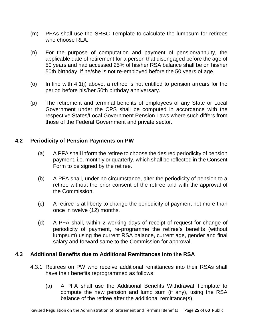- (m) PFAs shall use the SRBC Template to calculate the lumpsum for retirees who choose RLA.
- (n) For the purpose of computation and payment of pension/annuity, the applicable date of retirement for a person that disengaged before the age of 50 years and had accessed 25% of his/her RSA balance shall be on his/her 50th birthday, if he/she is not re-employed before the 50 years of age.
- (o) In line with 4.1(j) above, a retiree is not entitled to pension arrears for the period before his/her 50th birthday anniversary.
- (p) The retirement and terminal benefits of employees of any State or Local Government under the CPS shall be computed in accordance with the respective States/Local Government Pension Laws where such differs from those of the Federal Government and private sector.

# **4.2 Periodicity of Pension Payments on PW**

- (a) A PFA shall inform the retiree to choose the desired periodicity of pension payment, i.e. monthly or quarterly, which shall be reflected in the Consent Form to be signed by the retiree.
- (b) A PFA shall, under no circumstance, alter the periodicity of pension to a retiree without the prior consent of the retiree and with the approval of the Commission.
- (c) A retiree is at liberty to change the periodicity of payment not more than once in twelve (12) months.
- (d) A PFA shall, within 2 working days of receipt of request for change of periodicity of payment, re-programme the retiree's benefits (without lumpsum) using the current RSA balance, current age, gender and final salary and forward same to the Commission for approval.

# **4.3 Additional Benefits due to Additional Remittances into the RSA**

- 4.3.1 Retirees on PW who receive additional remittances into their RSAs shall have their benefits reprogrammed as follows:
	- (a) A PFA shall use the Additional Benefits Withdrawal Template to compute the new pension and lump sum (if any), using the RSA balance of the retiree after the additional remittance(s).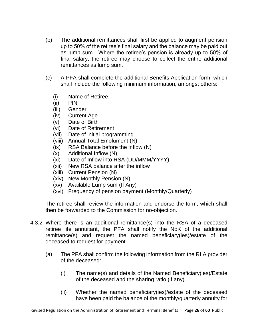- (b) The additional remittances shall first be applied to augment pension up to 50% of the retiree's final salary and the balance may be paid out as lump sum. Where the retiree's pension is already up to 50% of final salary, the retiree may choose to collect the entire additional remittances as lump sum.
- (c) A PFA shall complete the additional Benefits Application form, which shall include the following minimum information, amongst others:
	- (i) Name of Retiree
	- (ii) PIN
	- (iii) Gender
	- (iv) Current Age
	- (v) Date of Birth
	- (vi) Date of Retirement
	- (vii) Date of initial programming
	- (viii) Annual Total Emolument (N)
	- (ix) RSA Balance before the inflow (N)
	- (x) Additional Inflow (N)
	- (xi) Date of Inflow into RSA (DD/MMM/YYYY)
	- (xii) New RSA balance after the inflow
	- (xiii) Current Pension (N)
	- (xiv) New Monthly Pension (N)
	- (xv) Available Lump sum (If Any)
	- (xvi) Frequency of pension payment (Monthly/Quarterly)

The retiree shall review the information and endorse the form, which shall then be forwarded to the Commission for no-objection.

- 4.3.2 Where there is an additional remittance(s) into the RSA of a deceased retiree life annuitant, the PFA shall notify the NoK of the additional remittance(s) and request the named beneficiary(ies)/estate of the deceased to request for payment.
	- (a) The PFA shall confirm the following information from the RLA provider of the deceased:
		- (i) The name(s) and details of the Named Beneficiary(ies)/Estate of the deceased and the sharing ratio (if any).
		- (ii) Whether the named beneficiary(ies)/estate of the deceased have been paid the balance of the monthly/quarterly annuity for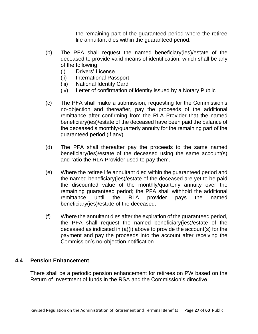the remaining part of the guaranteed period where the retiree life annuitant dies within the guaranteed period.

- (b) The PFA shall request the named beneficiary(ies)/estate of the deceased to provide valid means of identification, which shall be any of the following:
	- (i) Drivers' License
	- (ii) International Passport
	- (iii) National Identity Card
	- (iv) Letter of confirmation of identity issued by a Notary Public
- (c) The PFA shall make a submission, requesting for the Commission's no-objection and thereafter, pay the proceeds of the additional remittance after confirming from the RLA Provider that the named beneficiary(ies)/estate of the deceased have been paid the balance of the deceased's monthly/quarterly annuity for the remaining part of the guaranteed period (if any).
- (d) The PFA shall thereafter pay the proceeds to the same named beneficiary(ies)/estate of the deceased using the same account(s) and ratio the RLA Provider used to pay them.
- (e) Where the retiree life annuitant died within the guaranteed period and the named beneficiary(ies)/estate of the deceased are yet to be paid the discounted value of the monthly/quarterly annuity over the remaining guaranteed period; the PFA shall withhold the additional remittance until the RLA provider pays the named beneficiary(ies)/estate of the deceased.
- (f) Where the annuitant dies after the expiration of the guaranteed period, the PFA shall request the named beneficiary(ies)/estate of the deceased as indicated in (a)(i) above to provide the account(s) for the payment and pay the proceeds into the account after receiving the Commission's no-objection notification.

## **4.4 Pension Enhancement**

There shall be a periodic pension enhancement for retirees on PW based on the Return of Investment of funds in the RSA and the Commission's directive: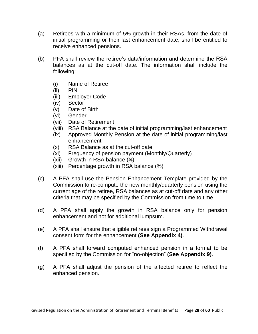- (a) Retirees with a minimum of 5% growth in their RSAs, from the date of initial programming or their last enhancement date, shall be entitled to receive enhanced pensions.
- (b) PFA shall review the retiree's data/information and determine the RSA balances as at the cut-off date. The information shall include the following:
	- (i) Name of Retiree
	- (ii) PIN
	- (iii) Employer Code
	- (iv) Sector
	- (v) Date of Birth
	- (vi) Gender
	- (vii) Date of Retirement
	- (viii) RSA Balance at the date of initial programming/last enhancement
	- (ix) Approved Monthly Pension at the date of initial programming/last enhancement
	- (x) RSA Balance as at the cut-off date
	- (xi) Frequency of pension payment (Monthly/Quarterly)
	- (xii) Growth in RSA balance  $(\mathbf{A})$
	- (xiii) Percentage growth in RSA balance (%)
- (c) A PFA shall use the Pension Enhancement Template provided by the Commission to re-compute the new monthly/quarterly pension using the current age of the retiree, RSA balances as at cut-off date and any other criteria that may be specified by the Commission from time to time.
- (d) A PFA shall apply the growth in RSA balance only for pension enhancement and not for additional lumpsum.
- (e) A PFA shall ensure that eligible retirees sign a Programmed Withdrawal consent form for the enhancement **(See Appendix 4)**.
- (f) A PFA shall forward computed enhanced pension in a format to be specified by the Commission for "no-objection" **(See Appendix 9)**.
- (g) A PFA shall adjust the pension of the affected retiree to reflect the enhanced pension.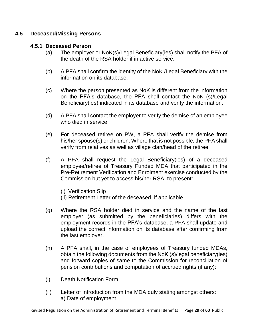## **4.5 Deceased/Missing Persons**

## **4.5.1 Deceased Person**

- (a) The employer or NoK(s)/Legal Beneficiary(ies) shall notify the PFA of the death of the RSA holder if in active service.
- (b) A PFA shall confirm the identity of the NoK /Legal Beneficiary with the information on its database.
- (c) Where the person presented as NoK is different from the information on the PFA's database, the PFA shall contact the NoK (s)/Legal Beneficiary(ies) indicated in its database and verify the information.
- (d) A PFA shall contact the employer to verify the demise of an employee who died in service.
- (e) For deceased retiree on PW, a PFA shall verify the demise from his/her spouse(s) or children. Where that is not possible, the PFA shall verify from relatives as well as village clan/head of the retiree.
- (f) A PFA shall request the Legal Beneficiary(ies) of a deceased employee/retiree of Treasury Funded MDA that participated in the Pre-Retirement Verification and Enrolment exercise conducted by the Commission but yet to access his/her RSA, to present:
	- (i) Verification Slip
	- (ii) Retirement Letter of the deceased, if applicable
- (g) Where the RSA holder died in service and the name of the last employer (as submitted by the beneficiaries) differs with the employment records in the PFA's database, a PFA shall update and upload the correct information on its database after confirming from the last employer.
- (h) A PFA shall, in the case of employees of Treasury funded MDAs, obtain the following documents from the NoK (s)/legal beneficiary(ies) and forward copies of same to the Commission for reconciliation of pension contributions and computation of accrued rights (if any):
- (i) Death Notification Form
- (ii) Letter of Introduction from the MDA duly stating amongst others: a) Date of employment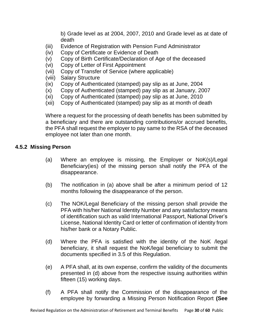b) Grade level as at 2004, 2007, 2010 and Grade level as at date of death

- (iii) Evidence of Registration with Pension Fund Administrator
- (iv) Copy of Certificate or Evidence of Death
- (v) Copy of Birth Certificate/Declaration of Age of the deceased
- (vi) Copy of Letter of First Appointment
- (vii) Copy of Transfer of Service (where applicable)
- (viii) Salary Structure
- (ix) Copy of Authenticated (stamped) pay slip as at June, 2004
- (x) Copy of Authenticated (stamped) pay slip as at January, 2007
- (xi) Copy of Authenticated (stamped) pay slip as at June, 2010
- (xii) Copy of Authenticated (stamped) pay slip as at month of death

Where a request for the processing of death benefits has been submitted by a beneficiary and there are outstanding contributions/or accrued benefits, the PFA shall request the employer to pay same to the RSA of the deceased employee not later than one month.

# **4.5.2 Missing Person**

- (a) Where an employee is missing, the Employer or NoK(s)/Legal Beneficiary(ies) of the missing person shall notify the PFA of the disappearance.
- (b) The notification in (a) above shall be after a minimum period of 12 months following the disappearance of the person.
- (c) The NOK/Legal Beneficiary of the missing person shall provide the PFA with his/her National Identity Number and any satisfactory means of identification such as valid International Passport, National Driver's License, National Identity Card or letter of confirmation of identity from his/her bank or a Notary Public.
- (d) Where the PFA is satisfied with the identity of the NoK /legal beneficiary, it shall request the NoK/legal beneficiary to submit the documents specified in 3.5 of this Regulation.
- (e) A PFA shall, at its own expense, confirm the validity of the documents presented in (d) above from the respective issuing authorities within fifteen (15) working days.
- (f) A PFA shall notify the Commission of the disappearance of the employee by forwarding a Missing Person Notification Report **(See**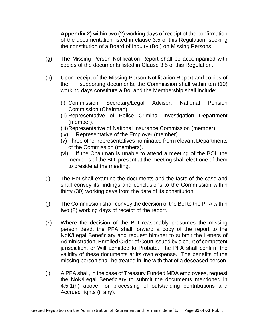**Appendix 2)** within two (2) working days of receipt of the confirmation of the documentation listed in clause 3.5 of this Regulation, seeking the constitution of a Board of Inquiry (BoI) on Missing Persons.

- (g) The Missing Person Notification Report shall be accompanied with copies of the documents listed in Clause 3.5 of this Regulation.
- (h) Upon receipt of the Missing Person Notification Report and copies of the supporting documents, the Commission shall within ten (10) working days constitute a BoI and the Membership shall include:
	- (i) Commission Secretary/Legal Adviser, National Pension Commission (Chairman).
	- (ii) Representative of Police Criminal Investigation Department (member).
	- (iii)Representative of National Insurance Commission (member).
	- (iv) Representative of the Employer (member)
	- (v) Three other representatives nominated from relevant Departments of the Commission (members).
	- (vi) If the Chairman is unable to attend a meeting of the BOI, the members of the BOI present at the meeting shall elect one of them to preside at the meeting.
- (i) The BoI shall examine the documents and the facts of the case and shall convey its findings and conclusions to the Commission within thirty (30) working days from the date of its constitution.
- (j) The Commission shall convey the decision of the BoI to the PFA within two (2) working days of receipt of the report.
- (k) Where the decision of the BoI reasonably presumes the missing person dead, the PFA shall forward a copy of the report to the NoK/Legal Beneficiary and request him/her to submit the Letters of Administration, Enrolled Order of Court issued by a court of competent jurisdiction, or Will admitted to Probate. The PFA shall confirm the validity of these documents at its own expense. The benefits of the missing person shall be treated in line with that of a deceased person.
- (l) A PFA shall, in the case of Treasury Funded MDA employees, request the NoK/Legal Beneficiary to submit the documents mentioned in 4.5.1(h) above, for processing of outstanding contributions and Accrued rights (if any).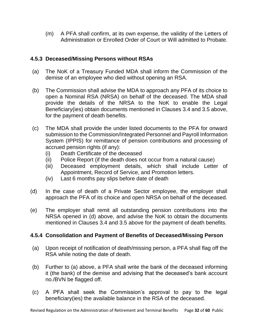(m) A PFA shall confirm, at its own expense, the validity of the Letters of Administration or Enrolled Order of Court or Will admitted to Probate.

# **4.5.3 Deceased/Missing Persons without RSAs**

- (a) The NoK of a Treasury Funded MDA shall inform the Commission of the demise of an employee who died without opening an RSA.
- (b) The Commission shall advise the MDA to approach any PFA of its choice to open a Nominal RSA (NRSA) on behalf of the deceased. The MDA shall provide the details of the NRSA to the NoK to enable the Legal Beneficiary(ies) obtain documents mentioned in Clauses 3.4 and 3.5 above, for the payment of death benefits.
- (c) The MDA shall provide the under listed documents to the PFA for onward submission to the Commission/Integrated Personnel and Payroll Information System (IPPIS) for remittance of pension contributions and processing of accrued pension rights (if any):
	- (i) Death Certificate of the deceased
	- (ii) Police Report (if the death does not occur from a natural cause)
	- (iii) Deceased employment details, which shall include Letter of Appointment, Record of Service, and Promotion letters.
	- (iv) Last 6 months pay slips before date of death
- (d) In the case of death of a Private Sector employee, the employer shall approach the PFA of its choice and open NRSA on behalf of the deceased.
- (e) The employer shall remit all outstanding pension contributions into the NRSA opened in (d) above, and advise the NoK to obtain the documents mentioned in Clauses 3.4 and 3.5 above for the payment of death benefits.

# **4.5.4 Consolidation and Payment of Benefits of Deceased/Missing Person**

- (a) Upon receipt of notification of death/missing person, a PFA shall flag off the RSA while noting the date of death.
- (b) Further to (a) above, a PFA shall write the bank of the deceased informing it (the bank) of the demise and advising that the deceased's bank account no./BVN be flagged off.
- (c) A PFA shall seek the Commission's approval to pay to the legal beneficiary(ies) the available balance in the RSA of the deceased.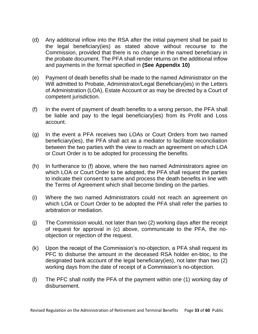- (d) Any additional inflow into the RSA after the initial payment shall be paid to the legal beneficiary(ies) as stated above without recourse to the Commission, provided that there is no change in the named beneficiary in the probate document. The PFA shall render returns on the additional inflow and payments in the format specified in **(See Appendix 10)**
- (e) Payment of death benefits shall be made to the named Administrator on the Will admitted to Probate, Administrator/Legal Beneficiary(ies) in the Letters of Administration (LOA), Estate Account or as may be directed by a Court of competent jurisdiction.
- (f) In the event of payment of death benefits to a wrong person, the PFA shall be liable and pay to the legal beneficiary(ies) from its Profit and Loss account.
- (g) In the event a PFA receives two LOAs or Court Orders from two named beneficiary(ies), the PFA shall act as a mediator to facilitate reconciliation between the two parties with the view to reach an agreement on which LOA or Court Order is to be adopted for processing the benefits.
- (h) In furtherance to (f) above, where the two named Administrators agree on which LOA or Court Order to be adopted, the PFA shall request the parties to indicate their consent to same and process the death benefits in line with the Terms of Agreement which shall become binding on the parties.
- (i) Where the two named Administrators could not reach an agreement on which LOA or Court Order to be adopted the PFA shall refer the parties to arbitration or mediation.
- (j) The Commission would, not later than two (2) working days after the receipt of request for approval in (c) above, communicate to the PFA, the noobjection or rejection of the request.
- (k) Upon the receipt of the Commission's no-objection, a PFA shall request its PFC to disburse the amount in the deceased RSA holder en-bloc, to the designated bank account of the legal beneficiary(ies), not later than two (2) working days from the date of receipt of a Commission's no-objection.
- (l) The PFC shall notify the PFA of the payment within one (1) working day of disbursement.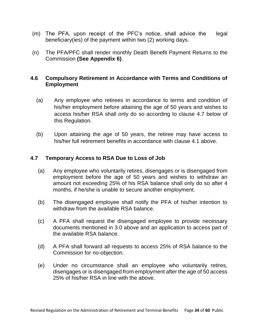- (m) The PFA, upon receipt of the PFC's notice, shall advice the legal beneficiary(ies) of the payment within two (2) working days.
- (n) The PFA/PFC shall render monthly Death Benefit Payment Returns to the Commission **(See Appendix 6)**.

# **4.6 Compulsory Retirement in Accordance with Terms and Conditions of Employment**

- (a) Any employee who retirees in accordance to terms and condition of his/her employment before attaining the age of 50 years and wishes to access his/her RSA shall only do so according to clause 4.7 below of this Regulation.
- (b) Upon attaining the age of 50 years, the retiree may have access to his/her full retirement benefits in accordance with clause 4.1 above.

# **4.7 Temporary Access to RSA Due to Loss of Job**

- (a) Any employee who voluntarily retires, disengages or is disengaged from employment before the age of 50 years and wishes to withdraw an amount not exceeding 25% of his RSA balance shall only do so after 4 months, if he/she is unable to secure another employment.
- (b) The disengaged employee shall notify the PFA of his/her intention to withdraw from the available RSA balance.
- (c) A PFA shall request the disengaged employee to provide necessary documents mentioned in 3.0 above and an application to access part of the available RSA balance.
- (d) A PFA shall forward all requests to access 25% of RSA balance to the Commission for no-objection.
- (e) Under no circumstance shall an employee who voluntarily retires, disengages or is disengaged from employment after the age of 50 access 25% of his/her RSA in line with the above.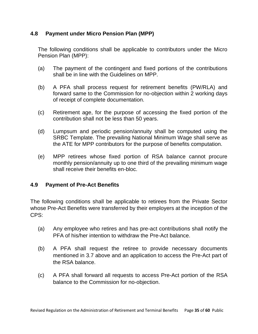# **4.8 Payment under Micro Pension Plan (MPP)**

The following conditions shall be applicable to contributors under the Micro Pension Plan (MPP):

- (a) The payment of the contingent and fixed portions of the contributions shall be in line with the Guidelines on MPP.
- (b) A PFA shall process request for retirement benefits (PW/RLA) and forward same to the Commission for no-objection within 2 working days of receipt of complete documentation.
- (c) Retirement age, for the purpose of accessing the fixed portion of the contribution shall not be less than 50 years.
- (d) Lumpsum and periodic pension/annuity shall be computed using the SRBC Template. The prevailing National Minimum Wage shall serve as the ATE for MPP contributors for the purpose of benefits computation.
- (e) MPP retirees whose fixed portion of RSA balance cannot procure monthly pension/annuity up to one third of the prevailing minimum wage shall receive their benefits en-bloc.

# **4.9 Payment of Pre-Act Benefits**

The following conditions shall be applicable to retirees from the Private Sector whose Pre-Act Benefits were transferred by their employers at the inception of the CPS:

- (a) Any employee who retires and has pre-act contributions shall notify the PFA of his/her intention to withdraw the Pre-Act balance.
- (b) A PFA shall request the retiree to provide necessary documents mentioned in 3.7 above and an application to access the Pre-Act part of the RSA balance.
- (c) A PFA shall forward all requests to access Pre-Act portion of the RSA balance to the Commission for no-objection.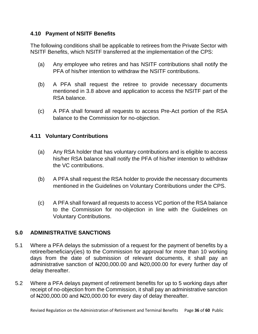# **4.10 Payment of NSITF Benefits**

The following conditions shall be applicable to retirees from the Private Sector with NSITF Benefits, which NSITF transferred at the implementation of the CPS:

- (a) Any employee who retires and has NSITF contributions shall notify the PFA of his/her intention to withdraw the NSITF contributions.
- (b) A PFA shall request the retiree to provide necessary documents mentioned in 3.8 above and application to access the NSITF part of the RSA balance.
- (c) A PFA shall forward all requests to access Pre-Act portion of the RSA balance to the Commission for no-objection.

# **4.11 Voluntary Contributions**

- (a) Any RSA holder that has voluntary contributions and is eligible to access his/her RSA balance shall notify the PFA of his/her intention to withdraw the VC contributions.
- (b) A PFA shall request the RSA holder to provide the necessary documents mentioned in the Guidelines on Voluntary Contributions under the CPS.
- (c) A PFA shall forward all requests to access VC portion of the RSA balance to the Commission for no-objection in line with the Guidelines on Voluntary Contributions.

# **5.0 ADMINISTRATIVE SANCTIONS**

- 5.1 Where a PFA delays the submission of a request for the payment of benefits by a retiree/beneficiary(ies) to the Commission for approval for more than 10 working days from the date of submission of relevant documents, it shall pay an administrative sanction of N200,000.00 and N20,000.00 for every further day of delay thereafter.
- 5.2 Where a PFA delays payment of retirement benefits for up to 5 working days after receipt of no-objection from the Commission, it shall pay an administrative sanction of  $\mu$ 200,000.00 and  $\mu$ 20,000.00 for every day of delay thereafter.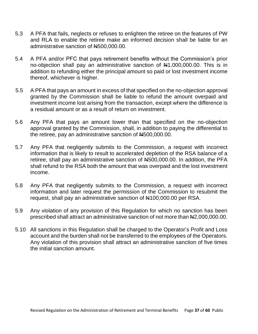- 5.3 A PFA that fails, neglects or refuses to enlighten the retiree on the features of PW and RLA to enable the retiree make an informed decision shall be liable for an administrative sanction of N500,000.00.
- 5.4 A PFA and/or PFC that pays retirement benefits without the Commission's prior no-objection shall pay an administrative sanction of  $\mu$ 1,000,000.00. This is in addition to refunding either the principal amount so paid or lost investment income thereof, whichever is higher.
- 5.5 A PFA that pays an amount in excess of that specified on the no-objection approval granted by the Commission shall be liable to refund the amount overpaid and investment income lost arising from the transaction, except where the difference is a residual amount or as a result of return on investment.
- 5.6 Any PFA that pays an amount lower than that specified on the no-objection approval granted by the Commission, shall, in addition to paying the differential to the retiree, pay an administrative sanction of N4500,000.00.
- 5.7 Any PFA that negligently submits to the Commission, a request with incorrect information that is likely to result to accelerated depletion of the RSA balance of a retiree, shall pay an administrative sanction of N500,000.00. In addition, the PFA shall refund to the RSA both the amount that was overpaid and the lost investment income.
- 5.8 Any PFA that negligently submits to the Commission, a request with incorrect information and later request the permission of the Commission to resubmit the request, shall pay an administrative sanction of N100,000.00 per RSA.
- 5.9 Any violation of any provision of this Regulation for which no sanction has been prescribed shall attract an administrative sanction of not more than N2,000,000.00.
- 5.10 All sanctions in this Regulation shall be charged to the Operator's Profit and Loss account and the burden shall not be transferred to the employees of the Operators. Any violation of this provision shall attract an administrative sanction of five times the initial sanction amount.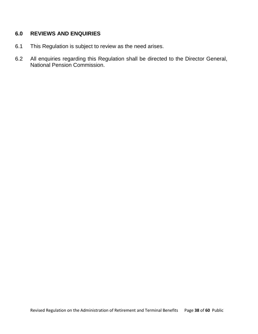# **6.0 REVIEWS AND ENQUIRIES**

- 6.1 This Regulation is subject to review as the need arises.
- 6.2 All enquiries regarding this Regulation shall be directed to the Director General, National Pension Commission.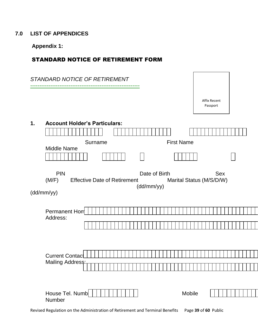# **7.0 LIST OF APPENDICES**

**Appendix 1:**

# STANDARD NOTICE OF RETIREMENT FORM

Revised Regulation on the Administration of Retirement and Terminal Benefits Page **39** of **60** Public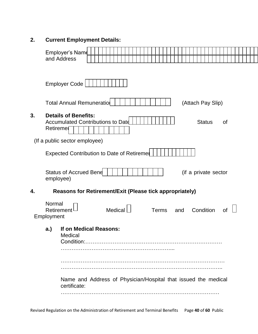# **2. Current Employment Details:**

|    |                                    | Employer's Name<br>and Address                                                                                      |  |         |  |  |              |  |     |  |                      |  |    |  |  |  |
|----|------------------------------------|---------------------------------------------------------------------------------------------------------------------|--|---------|--|--|--------------|--|-----|--|----------------------|--|----|--|--|--|
|    |                                    |                                                                                                                     |  |         |  |  |              |  |     |  |                      |  |    |  |  |  |
|    |                                    | <b>Employer Code</b>                                                                                                |  |         |  |  |              |  |     |  |                      |  |    |  |  |  |
|    |                                    | <b>Total Annual Remuneratiol</b>                                                                                    |  |         |  |  |              |  |     |  | (Attach Pay Slip)    |  |    |  |  |  |
| 3. | Retiremer                          | <b>Details of Benefits:</b><br><b>Accumulated Contributions to Date</b>                                             |  |         |  |  |              |  |     |  | <b>Status</b>        |  | 0f |  |  |  |
|    |                                    | (If a public sector employee)                                                                                       |  |         |  |  |              |  |     |  |                      |  |    |  |  |  |
|    |                                    | <b>Expected Contribution to Date of Retiremer</b>                                                                   |  |         |  |  |              |  |     |  |                      |  |    |  |  |  |
|    | employee)                          | <b>Status of Accrued Bene</b>                                                                                       |  |         |  |  |              |  |     |  | (if a private sector |  |    |  |  |  |
| 4. |                                    | <b>Reasons for Retirement/Exit (Please tick appropriately)</b>                                                      |  |         |  |  |              |  |     |  |                      |  |    |  |  |  |
|    | Normal<br>Retirement<br>Employment |                                                                                                                     |  | Medical |  |  | <b>Terms</b> |  | and |  | Condition            |  | Οf |  |  |  |
|    | a.                                 | If on Medical Reasons:<br>Medical<br>Name and Address of Physician/Hospital that issued the medical<br>certificate: |  |         |  |  |              |  |     |  |                      |  |    |  |  |  |
|    |                                    |                                                                                                                     |  |         |  |  |              |  |     |  |                      |  |    |  |  |  |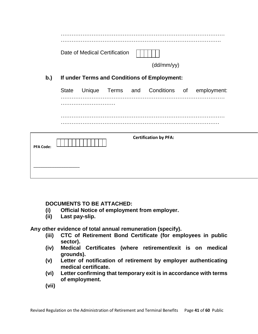|                  |              | Date of Medical Certification |  |                                              |                                            |  |
|------------------|--------------|-------------------------------|--|----------------------------------------------|--------------------------------------------|--|
|                  |              |                               |  | (dd/mm/yy)                                   |                                            |  |
| b.)              |              |                               |  | If under Terms and Conditions of Employment: |                                            |  |
|                  | <b>State</b> |                               |  |                                              | Unique Terms and Conditions of employment: |  |
|                  |              |                               |  |                                              |                                            |  |
|                  |              |                               |  |                                              |                                            |  |
| <b>PFA Code:</b> |              |                               |  | <b>Certification by PFA:</b>                 |                                            |  |
|                  |              |                               |  |                                              |                                            |  |

# **DOCUMENTS TO BE ATTACHED:**

- (i) Official Notice of employment from employer.
	- **(ii) Last pay-slip.**

**Any other evidence of total annual remuneration (specify).**

- **(iii) CTC of Retirement Bond Certificate (for employees in public sector).**
- **(iv) Medical Certificates (where retirement/exit is on medical grounds).**
- **(v) Letter of notification of retirement by employer authenticating medical certificate.**
- **(vi) Letter confirming that temporary exit is in accordance with terms of employment.**
- **(vii)**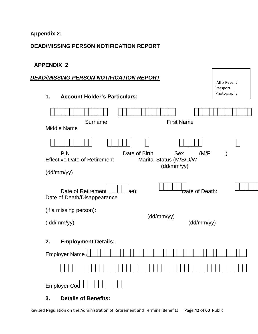# **Appendix 2:**

# **DEAD/MISSING PERSON NOTIFICATION REPORT**

# **APPENDIX 2**

# *DEAD/MISSING PERSON NOTIFICATION REPORT*

| 1. | <b>Account Holder's Particulars:</b> |
|----|--------------------------------------|
|----|--------------------------------------|

| Surname<br>Middle Name                                             | <b>First Name</b>                                            |
|--------------------------------------------------------------------|--------------------------------------------------------------|
|                                                                    |                                                              |
| <b>PIN</b><br>Date of Birth<br><b>Effective Date of Retirement</b> | (M/F)<br><b>Sex</b><br>Marital Status (M/S/D/W<br>(dd/mm/yy) |
| (dd/mm/yy)                                                         |                                                              |
| Date of Retirement<br>ee):<br>Date of Death/Disappearance          | Date of Death:                                               |
| (if a missing person):                                             | (dd/mm/yy)                                                   |
| (dd/mm/yy)                                                         | (dd/mm/yy)                                                   |
| <b>Employment Details:</b><br>2.                                   |                                                              |
| <b>Employer Name</b>                                               |                                                              |
|                                                                    |                                                              |

Affix Recent Passport Photography

| Employer Cod |  |  |  |  |  |  |
|--------------|--|--|--|--|--|--|
|              |  |  |  |  |  |  |

# **3. Details of Benefits:**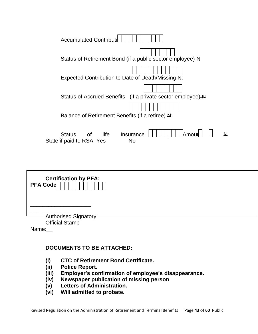| <b>Accumulated Contributil</b>                                                                                                                                                             |  |
|--------------------------------------------------------------------------------------------------------------------------------------------------------------------------------------------|--|
| Status of Retirement Bond (if a public sector employee) N                                                                                                                                  |  |
| Expected Contribution to Date of Death/Missing N:                                                                                                                                          |  |
| Status of Accrued Benefits (if a private sector employee) A                                                                                                                                |  |
|                                                                                                                                                                                            |  |
| Balance of Retirement Benefits (if a retiree) N:                                                                                                                                           |  |
| Amour<br>life<br>Status<br>of the contract of the contract of the contract of the contract of the contract of the contract of the contract<br>Insurance<br>State if paid to RSA: Yes<br>No |  |

| <b>Certification by PFA:</b><br>PFA Code                      |  |  |
|---------------------------------------------------------------|--|--|
|                                                               |  |  |
| <b>Authorised Signatory</b><br><b>Official Stamp</b><br>Name: |  |  |

# **DOCUMENTS TO BE ATTACHED:**

- **(i) CTC of Retirement Bond Certificate.**
- **(ii) Police Report.**
- **(iii) Employer's confirmation of employee's disappearance.**
- **(iv) Newspaper publication of missing person**
- **(v) Letters of Administration.**
- **(vi) Will admitted to probate.**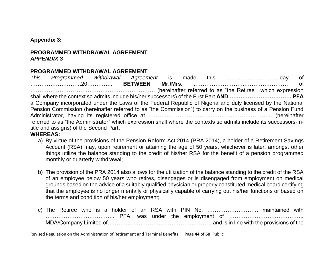#### **Appendix 3:**

# **PROGRAMMED WITHDRAWAL AGREEMENT** *APPENDIX 3*

# **PROGRAMMED WITHDRAWAL AGREEMENT**

*This Programmed Withdrawal Agreement* is made this ……………………..….day of ……………………….20………….. **BETWEEN Mr./Mrs.** ……………………….…………………… of …………………… ……………………………………. (hereinafter referred to as "the Retiree", which expression shall where the context so admits include his/her successors) of the First Part **AND ……………………………. PFA**  a Company incorporated under the Laws of the Federal Republic of Nigeria and duly licensed by the National Pension Commission (hereinafter referred to as "the Commission") to carry on the business of a Pension Fund Administrator, having its registered office at ………………………………………………………….. (hereinafter referred to as "the Administrator" which expression shall where the contexts so admits include its successors-intitle and assigns) of the Second Part**.**

## **WHEREAS:**

- a) By virtue of the provisions of the Pension Reform Act 2014 (PRA 2014), a holder of a Retirement Savings Account (RSA) may, upon retirement or attaining the age of 50 years, whichever is later, amongst other things utilize the balance standing to the credit of his/her RSA for the benefit of a pension programmed monthly or quarterly withdrawal;
- b) The provision of the PRA 2014 also allows for the utilization of the balance standing to the credit of the RSA of an employee below 50 years who retires, disengages or is disengaged from employment on medical grounds based on the advice of a suitably qualified physician or properly constituted medical board certifying that the employee is no longer mentally or physically capable of carrying out his/her functions or based on the terms and condition of his/her employment;
- c) The Retiree who is a holder of an RSA with PIN No. ………………………. maintained with ……………………………….. PFA, was under the employment of ………………………………….. MDA/Company Limited of………………………………………………… and is in line with the provisions of the

Revised Regulation on the Administration of Retirement and Terminal Benefits Page **44** of **60** Public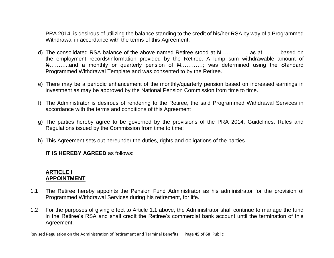PRA 2014, is desirous of utilizing the balance standing to the credit of his/her RSA by way of a Programmed Withdrawal in accordance with the terms of this Agreement;

- d) The consolidated RSA balance of the above named Retiree stood at **N**…………….as at……… based on the employment records/information provided by the Retiree. A lump sum withdrawable amount of N………..and a monthly or quarterly pension of N…………; was determined using the Standard Programmed Withdrawal Template and was consented to by the Retiree.
- e) There may be a periodic enhancement of the monthly/quarterly pension based on increased earnings in investment as may be approved by the National Pension Commission from time to time.
- f) The Administrator is desirous of rendering to the Retiree, the said Programmed Withdrawal Services in accordance with the terms and conditions of this Agreement
- g) The parties hereby agree to be governed by the provisions of the PRA 2014, Guidelines, Rules and Regulations issued by the Commission from time to time;
- h) This Agreement sets out hereunder the duties, rights and obligations of the parties.

**IT IS HEREBY AGREED** as follows:

## **ARTICLE I APPOINTMENT**

- 1.1 The Retiree hereby appoints the Pension Fund Administrator as his administrator for the provision of Programmed Withdrawal Services during his retirement, for life.
- 1.2 For the purposes of giving effect to Article 1.1 above, the Administrator shall continue to manage the fund in the Retiree's RSA and shall credit the Retiree's commercial bank account until the termination of this Agreement.

Revised Regulation on the Administration of Retirement and Terminal Benefits Page **45** of **60** Public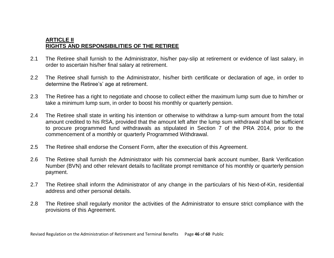# **ARTICLE II RIGHTS AND RESPONSIBILITIES OF THE RETIREE**

- 2.1 The Retiree shall furnish to the Administrator, his/her pay-slip at retirement or evidence of last salary, in order to ascertain his/her final salary at retirement.
- 2.2 The Retiree shall furnish to the Administrator, his/her birth certificate or declaration of age, in order to determine the Retiree's' age at retirement.
- 2.3 The Retiree has a right to negotiate and choose to collect either the maximum lump sum due to him/her or take a minimum lump sum, in order to boost his monthly or quarterly pension.
- 2.4 The Retiree shall state in writing his intention or otherwise to withdraw a lump-sum amount from the total amount credited to his RSA, provided that the amount left after the lump sum withdrawal shall be sufficient to procure programmed fund withdrawals as stipulated in Section 7 of the PRA 2014, prior to the commencement of a monthly or quarterly Programmed Withdrawal.
- 2.5 The Retiree shall endorse the Consent Form, after the execution of this Agreement.
- 2.6 The Retiree shall furnish the Administrator with his commercial bank account number, Bank Verification Number (BVN) and other relevant details to facilitate prompt remittance of his monthly or quarterly pension payment.
- 2.7 The Retiree shall inform the Administrator of any change in the particulars of his Next-of-Kin, residential address and other personal details.
- 2.8 The Retiree shall regularly monitor the activities of the Administrator to ensure strict compliance with the provisions of this Agreement.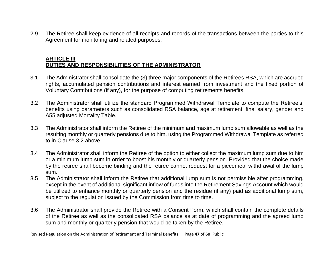2.9 The Retiree shall keep evidence of all receipts and records of the transactions between the parties to this Agreement for monitoring and related purposes.

# **ARTICLE III DUTIES AND RESPONSIBILITIES OF THE ADMINISTRATOR**

- 3.1 The Administrator shall consolidate the (3) three major components of the Retirees RSA, which are accrued rights, accumulated pension contributions and interest earned from investment and the fixed portion of Voluntary Contributions (if any), for the purpose of computing retirements benefits.
- 3.2 The Administrator shall utilize the standard Programmed Withdrawal Template to compute the Retiree's' benefits using parameters such as consolidated RSA balance, age at retirement, final salary, gender and A55 adjusted Mortality Table.
- 3.3 The Administrator shall inform the Retiree of the minimum and maximum lump sum allowable as well as the resulting monthly or quarterly pensions due to him, using the Programmed Withdrawal Template as referred to in Clause 3.2 above.
- 3.4 The Administrator shall inform the Retiree of the option to either collect the maximum lump sum due to him or a minimum lump sum in order to boost his monthly or quarterly pension. Provided that the choice made by the retiree shall become binding and the retiree cannot request for a piecemeal withdrawal of the lump sum.
- 3.5 The Administrator shall inform the Retiree that additional lump sum is not permissible after programming, except in the event of additional significant inflow of funds into the Retirement Savings Account which would be utilized to enhance monthly or quarterly pension and the residue (if any) paid as additional lump sum, subject to the regulation issued by the Commission from time to time.
- 3.6 The Administrator shall provide the Retiree with a Consent Form, which shall contain the complete details of the Retiree as well as the consolidated RSA balance as at date of programming and the agreed lump sum and monthly or quarterly pension that would be taken by the Retiree.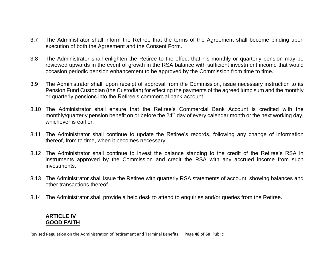- 3.7 The Administrator shall inform the Retiree that the terms of the Agreement shall become binding upon execution of both the Agreement and the Consent Form.
- 3.8 The Administrator shall enlighten the Retiree to the effect that his monthly or quarterly pension may be reviewed upwards in the event of growth in the RSA balance with sufficient investment income that would occasion periodic pension enhancement to be approved by the Commission from time to time.
- 3.9 The Administrator shall, upon receipt of approval from the Commission, issue necessary instruction to its Pension Fund Custodian (the Custodian) for effecting the payments of the agreed lump sum and the monthly or quarterly pensions into the Retiree's commercial bank account.
- 3.10 The Administrator shall ensure that the Retiree's Commercial Bank Account is credited with the monthly/quarterly pension benefit on or before the 24<sup>th</sup> day of every calendar month or the next working day, whichever is earlier.
- 3.11 The Administrator shall continue to update the Retiree's records, following any change of information thereof, from to time, when it becomes necessary.
- 3.12 The Administrator shall continue to invest the balance standing to the credit of the Retiree's RSA in instruments approved by the Commission and credit the RSA with any accrued income from such investments.
- 3.13 The Administrator shall issue the Retiree with quarterly RSA statements of account, showing balances and other transactions thereof.
- 3.14 The Administrator shall provide a help desk to attend to enquiries and/or queries from the Retiree.

## **ARTICLE IV GOOD FAITH**

Revised Regulation on the Administration of Retirement and Terminal Benefits Page **48** of **60** Public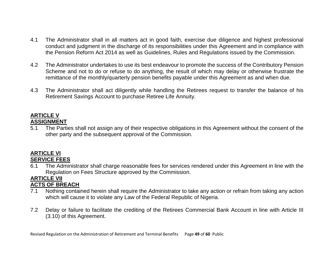- 4.1 The Administrator shall in all matters act in good faith, exercise due diligence and highest professional conduct and judgment in the discharge of its responsibilities under this Agreement and in compliance with the Pension Reform Act 2014 as well as Guidelines, Rules and Regulations issued by the Commission.
- 4.2 The Administrator undertakes to use its best endeavour to promote the success of the Contributory Pension Scheme and not to do or refuse to do anything, the result of which may delay or otherwise frustrate the remittance of the monthly/quarterly pension benefits payable under this Agreement as and when due.
- 4.3 The Administrator shall act diligently while handling the Retirees request to transfer the balance of his Retirement Savings Account to purchase Retiree Life Annuity.

# **ARTICLE V ASSIGNMENT**

5.1 The Parties shall not assign any of their respective obligations in this Agreement without the consent of the other party and the subsequent approval of the Commission.

# **ARTICLE VI SERVICE FEES**

6.1 The Administrator shall charge reasonable fees for services rendered under this Agreement in line with the Regulation on Fees Structure approved by the Commission.

#### **ARTICLE VII ACTS OF BREACH**

- 7.1 Nothing contained herein shall require the Administrator to take any action or refrain from taking any action which will cause it to violate any Law of the Federal Republic of Nigeria.
- 7.2 Delay or failure to facilitate the crediting of the Retirees Commercial Bank Account in line with Article III (3.10) of this Agreement.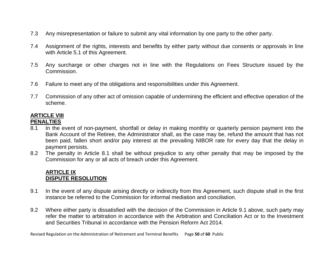- 7.3 Any misrepresentation or failure to submit any vital information by one party to the other party.
- 7.4 Assignment of the rights, interests and benefits by either party without due consents or approvals in line with Article 5.1 of this Agreement.
- 7.5 Any surcharge or other charges not in line with the Regulations on Fees Structure issued by the Commission.
- 7.6 Failure to meet any of the obligations and responsibilities under this Agreement.
- 7.7 Commission of any other act of omission capable of undermining the efficient and effective operation of the scheme.

### **ARTICLE VIII PENALTIES**

- 8.1 In the event of non-payment, shortfall or delay in making monthly or quarterly pension payment into the Bank Account of the Retiree, the Administrator shall, as the case may be, refund the amount that has not been paid, fallen short and/or pay interest at the prevailing NIBOR rate for every day that the delay in payment persists.
- 8.2 The penalty in Article 8.1 shall be without prejudice to any other penalty that may be imposed by the Commission for any or all acts of breach under this Agreement.

# **ARTICLE IX DISPUTE RESOLUTION**

- 9.1 In the event of any dispute arising directly or indirectly from this Agreement, such dispute shall in the first instance be referred to the Commission for informal mediation and conciliation.
- 9.2 Where either party is dissatisfied with the decision of the Commission in Article 9.1 above, such party may refer the matter to arbitration in accordance with the Arbitration and Conciliation Act or to the Investment and Securities Tribunal in accordance with the Pension Reform Act 2014.

Revised Regulation on the Administration of Retirement and Terminal Benefits Page **50** of **60** Public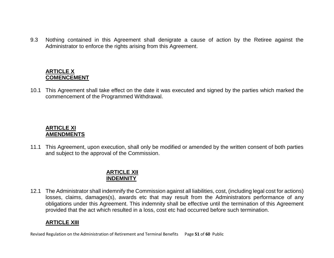9.3 Nothing contained in this Agreement shall denigrate a cause of action by the Retiree against the Administrator to enforce the rights arising from this Agreement.

## **ARTICLE X COMENCEMENT**

10.1 This Agreement shall take effect on the date it was executed and signed by the parties which marked the commencement of the Programmed Withdrawal.

## **ARTICLE XI AMENDMENTS**

11.1 This Agreement, upon execution, shall only be modified or amended by the written consent of both parties and subject to the approval of the Commission.

## **ARTICLE XII INDEMNITY**

12.1 The Administrator shall indemnify the Commission against all liabilities, cost, (including legal cost for actions) losses, claims, damages(s), awards etc that may result from the Administrators performance of any obligations under this Agreement. This indemnity shall be effective until the termination of this Agreement provided that the act which resulted in a loss, cost etc had occurred before such termination.

# **ARTICLE XIII**

Revised Regulation on the Administration of Retirement and Terminal Benefits Page **51** of **60** Public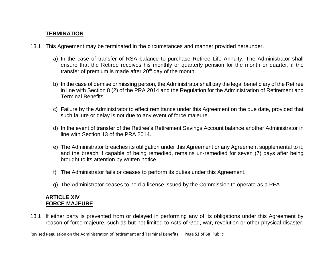# **TERMINATION**

- 13.1 This Agreement may be terminated in the circumstances and manner provided hereunder.
	- a) In the case of transfer of RSA balance to purchase Retiree Life Annuity. The Administrator shall ensure that the Retiree receives his monthly or quarterly pension for the month or quarter, if the transfer of premium is made after  $20<sup>th</sup>$  day of the month.
	- b) In the case of demise or missing person, the Administrator shall pay the legal beneficiary of the Retiree in line with Section 8 (2) of the PRA 2014 and the Regulation for the Administration of Retirement and Terminal Benefits.
	- c) Failure by the Administrator to effect remittance under this Agreement on the due date, provided that such failure or delay is not due to any event of force majeure.
	- d) In the event of transfer of the Retiree's Retirement Savings Account balance another Administrator in line with Section 13 of the PRA 2014.
	- e) The Administrator breaches its obligation under this Agreement or any Agreement supplemental to it, and the breach if capable of being remedied, remains un-remedied for seven (7) days after being brought to its attention by written notice.
	- f) The Administrator fails or ceases to perform its duties under this Agreement.
	- g) The Administrator ceases to hold a license issued by the Commission to operate as a PFA.

# **ARTICLE XIV FORCE MAJEURE**

13.1 If either party is prevented from or delayed in performing any of its obligations under this Agreement by reason of force majeure, such as but not limited to Acts of God, war, revolution or other physical disaster,

Revised Regulation on the Administration of Retirement and Terminal Benefits Page **52** of **60** Public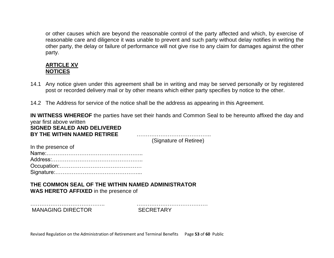or other causes which are beyond the reasonable control of the party affected and which, by exercise of reasonable care and diligence it was unable to prevent and such party without delay notifies in writing the other party, the delay or failure of performance will not give rise to any claim for damages against the other party.

# **ARTICLE XV NOTICES**

- 14.1 Any notice given under this agreement shall be in writing and may be served personally or by registered post or recorded delivery mail or by other means which either party specifies by notice to the other.
- 14.2 The Address for service of the notice shall be the address as appearing in this Agreement.

**IN WITNESS WHEREOF** the parties have set their hands and Common Seal to be hereunto affixed the day and year first above written **SIGNED SEALED AND DELIVERED BY THE WITHIN NAMED RETIREE** …………………………………..

(Signature of Retiree)

| In the presence of |
|--------------------|
|                    |
|                    |
|                    |
|                    |

**THE COMMON SEAL OF THE WITHIN NAMED ADMINISTRATOR WAS HERETO AFFIXED** in the presence of

MANAGING DIRECTOR SECRETARY

………………………………….. …………………………………

Revised Regulation on the Administration of Retirement and Terminal Benefits Page **53** of **60** Public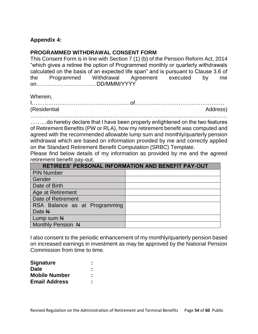# **Appendix 4:**

## **PROGRAMMED WITHDRAWAL CONSENT FORM**

This Consent Form is in line with Section 7 (1) (b) of the Pension Reform Act, 2014 "which gives a retiree the option of Programmed monthly or quarterly withdrawals calculated on the basis of an expected life span" and is pursuant to Clause 3.6 of the Programmed Withdrawal Agreement executed by me on……………………………DD/MMM/YYYY

Wherein,

| <i>(Residential</i> | Address |
|---------------------|---------|

.........do hereby declare that I have been properly enlightened on the two features of Retirement Benefits (PW or RLA), how my retirement benefit was computed and agreed with the recommended allowable lump sum and monthly/quarterly pension withdrawal which are based on information provided by me and correctly applied on the Standard Retirement Benefit Computation (SRBC) Template.

Please find below details of my information as provided by me and the agreed retirement benefit pay-out.

| <b>RETIREES' PERSONAL INFORMATION AND BENEFIT PAY-OUT</b> |  |  |  |  |  |  |  |
|-----------------------------------------------------------|--|--|--|--|--|--|--|
| <b>PIN Number</b>                                         |  |  |  |  |  |  |  |
| Gender                                                    |  |  |  |  |  |  |  |
| Date of Birth                                             |  |  |  |  |  |  |  |
| Age at Retirement                                         |  |  |  |  |  |  |  |
| <b>Date of Retirement</b>                                 |  |  |  |  |  |  |  |
| RSA Balance as at Programming                             |  |  |  |  |  |  |  |
| Date N                                                    |  |  |  |  |  |  |  |
| Lump sum N                                                |  |  |  |  |  |  |  |
| Monthly Pension N                                         |  |  |  |  |  |  |  |

I also consent to the periodic enhancement of my monthly/quarterly pension based on increased earnings in investment as may be approved by the National Pension Commission from time to time.

| <b>Signature</b>     | ٠<br>٠ |
|----------------------|--------|
| <b>Date</b>          | ٠<br>٠ |
| <b>Mobile Number</b> |        |
| <b>Email Address</b> | ٠      |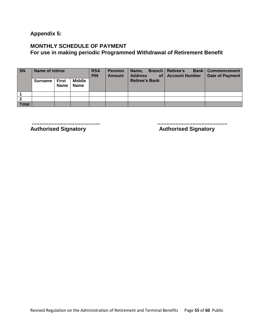**Appendix 5:** 

# **MONTHLY SCHEDULE OF PAYMENT For use in making periodic Programmed Withdrawal of Retirement Benefit**

| <b>SN</b>      | <b>Name of retiree</b> |                      |                              | <b>RSA</b><br><b>PIN</b> | <b>Pension</b><br><b>Amount</b> | Name,<br><b>Address</b> | <b>Branch   Retiree's</b><br>of   Account Number | <b>Bank   Commencement</b><br>Date of Payment |  |
|----------------|------------------------|----------------------|------------------------------|--------------------------|---------------------------------|-------------------------|--------------------------------------------------|-----------------------------------------------|--|
|                | Surname                | <b>First</b><br>Name | <b>Middle</b><br><b>Name</b> |                          |                                 | <b>Retiree's Bank</b>   |                                                  |                                               |  |
|                |                        |                      |                              |                          |                                 |                         |                                                  |                                               |  |
| $\overline{2}$ |                        |                      |                              |                          |                                 |                         |                                                  |                                               |  |
| <b>Total</b>   |                        |                      |                              |                          |                                 |                         |                                                  |                                               |  |

**Authorised Signatory** 

**............................................. ..............................................**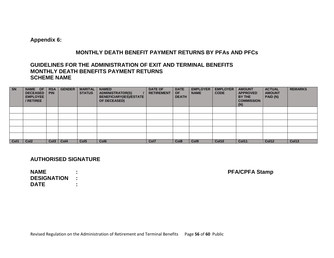**Appendix 6:**

#### **MONTHLY DEATH BENEFIT PAYMENT RETURNS BY PFAs AND PFCs**

#### **GUIDELINES FOR THE ADMINISTRATION OF EXIT AND TERMINAL BENEFITS MONTHLY DEATH BENEFITS PAYMENT RETURNS SCHEME NAME**

| <b>SN</b> | NAME OF<br><b>DECEASED</b><br><b>EMPLOYEE</b><br>/ RETIREE | <b>RSA</b><br><b>PIN</b> | <b>GENDER</b> | <b>MARITAL</b><br><b>STATUS</b> | <b>NAMED</b><br><b>ADMINISTRATOR(S)</b><br><b>BENEFICIARY(IES)/ESTATE</b><br>OF DECEASED) | <b>DATE OF</b><br><b>RETIREMENT</b> | <b>DATE</b><br><b>OF</b><br><b>DEATH</b> | <b>EMPLOYER</b><br><b>NAME</b> | <b>EMPLOYER</b><br><b>CODE</b> | <b>AMOUNT</b><br><b>APPROVED</b><br>BY THE<br><b>COMMISSION</b><br>(N) | <b>ACTUAL</b><br><b>AMOUNT</b><br>PAID (N) | <b>REMARKS</b> |
|-----------|------------------------------------------------------------|--------------------------|---------------|---------------------------------|-------------------------------------------------------------------------------------------|-------------------------------------|------------------------------------------|--------------------------------|--------------------------------|------------------------------------------------------------------------|--------------------------------------------|----------------|
|           |                                                            |                          |               |                                 |                                                                                           |                                     |                                          |                                |                                |                                                                        |                                            |                |
|           |                                                            |                          |               |                                 |                                                                                           |                                     |                                          |                                |                                |                                                                        |                                            |                |
|           |                                                            |                          |               |                                 |                                                                                           |                                     |                                          |                                |                                |                                                                        |                                            |                |
|           |                                                            |                          |               |                                 |                                                                                           |                                     |                                          |                                |                                |                                                                        |                                            |                |
|           |                                                            |                          |               |                                 |                                                                                           |                                     |                                          |                                |                                |                                                                        |                                            |                |
| Col1      | Col <sub>2</sub>                                           |                          | Col3   Col4   | Col <sub>5</sub>                | Col <sub>6</sub>                                                                          | Col7                                | Col <sub>8</sub>                         | Col <sub>9</sub>               | <b>Col10</b>                   | Col11                                                                  | Col12                                      | Col13          |

## **AUTHORISED SIGNATURE**

**NAME : PFA/CPFA Stamp DESIGNATION : DATE :**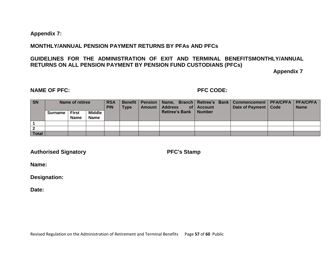#### **Appendix 7:**

#### **MONTHLY/ANNUAL PENSION PAYMENT RETURNS BY PFAs AND PFCs**

## **GUIDELINES FOR THE ADMINISTRATION OF EXIT AND TERMINAL BENEFITSMONTHLY/ANNUAL RETURNS ON ALL PENSION PAYMENT BY PENSION FUND CUSTODIANS (PFCs)**

**Appendix 7**

## **NAME OF PFC: PFC CODE:**

| S <sub>N</sub> |                | Name of retiree             |                       | <b>RSA</b><br><b>PIN</b> | <b>Type</b> | Amount   Address        | of $ $ Account | Benefit   Pension   Name, Branch   Retiree's Bank   Commencement   PFA/CPFA   PFA/CPFA<br>Date of Payment   Code | <b>Name</b> |
|----------------|----------------|-----------------------------|-----------------------|--------------------------|-------------|-------------------------|----------------|------------------------------------------------------------------------------------------------------------------|-------------|
|                | <b>Surname</b> | <b>First</b><br><b>Name</b> | Middle<br><b>Name</b> |                          |             | Retiree's Bank   Number |                |                                                                                                                  |             |
|                |                |                             |                       |                          |             |                         |                |                                                                                                                  |             |
|                |                |                             |                       |                          |             |                         |                |                                                                                                                  |             |
| <b>Total</b>   |                |                             |                       |                          |             |                         |                |                                                                                                                  |             |

**Authorised Signatory PFC's Stamp**

**Name:**

**Designation:**

**Date:**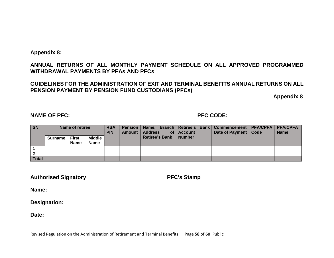**Appendix 8:**

## **ANNUAL RETURNS OF ALL MONTHLY PAYMENT SCHEDULE ON ALL APPROVED PROGRAMMED WITHDRAWAL PAYMENTS BY PFAs AND PFCs**

## **GUIDELINES FOR THE ADMINISTRATION OF EXIT AND TERMINAL BENEFITS ANNUAL RETURNS ON ALL PENSION PAYMENT BY PENSION FUND CUSTODIANS (PFCs)**

**Appendix 8**

#### **NAME OF PFC: PFC CODE:**

| <b>SN</b>    |         | Name of retiree             |                       | <b>RSA</b><br><b>PIN</b> | <b>Amount</b> | <b>Address</b><br>of l  | <b>Account</b> | Pension   Name, Branch   Retiree's Bank   Commencement   PFA/CPFA   PFA/CPFA<br>Date of Payment   Code | <b>Name</b> |  |
|--------------|---------|-----------------------------|-----------------------|--------------------------|---------------|-------------------------|----------------|--------------------------------------------------------------------------------------------------------|-------------|--|
|              | Surname | <b>First</b><br><b>Name</b> | Middle<br><b>Name</b> |                          |               | Retiree's Bank   Number |                |                                                                                                        |             |  |
|              |         |                             |                       |                          |               |                         |                |                                                                                                        |             |  |
|              |         |                             |                       |                          |               |                         |                |                                                                                                        |             |  |
| <b>Total</b> |         |                             |                       |                          |               |                         |                |                                                                                                        |             |  |

**Authorised Signatory PFC's Stamp**

**Name:**

**Designation:**

**Date:**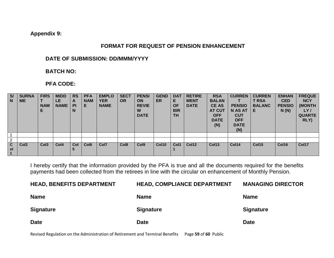**Appendix 9:**

## **FORMAT FOR REQUEST OF PENSION ENHANCEMENT**

#### **DATE OF SUBMISSION: DD/MMM/YYYY**

# **BATCH NO:**

# **PFA CODE:**

| S/<br>N.       | <b>SURNA</b><br><b>ME</b> | <b>FIRS</b><br>NAM<br>Ε | <b>MIDD</b><br>LE,<br><b>NAME</b> | <b>RS</b><br>$\mathbf{A}$<br><b>PI</b><br>N | <b>PFA</b><br><b>NAM</b><br>E. | <b>EMPLO</b><br><b>YER</b><br><b>NAME</b> | <b>SECT</b><br><b>OR</b> | <b>PENSI</b><br><b>ON</b><br><b>REVIE</b><br>W<br><b>DATE</b> | <b>GEND</b><br><b>ER</b> | <b>DAT</b><br>E.<br>ΟF<br><b>BIR</b><br><b>TH</b> | <b>RETIRE</b><br><b>MENT</b><br><b>DATE</b> | <b>RSA</b><br><b>BALAN</b><br><b>CE AS</b><br><b>AT CUT</b><br><b>OFF</b><br><b>DATE</b><br>(N) | <b>CURREN</b><br><b>PENSIO</b><br><b>N AS AT</b><br><b>CUT</b><br><b>OFF</b><br><b>DATE</b><br>(N) | <b>CURREN</b><br><b>T RSA</b><br><b>BALANC</b><br>Е | <b>ENHAN</b><br><b>CED</b><br><b>PENSIO</b><br>N(N) | <b>FREQUE</b><br><b>NCY</b><br>(MONTH<br>LY/<br><b>QUARTE</b><br>RLY) |
|----------------|---------------------------|-------------------------|-----------------------------------|---------------------------------------------|--------------------------------|-------------------------------------------|--------------------------|---------------------------------------------------------------|--------------------------|---------------------------------------------------|---------------------------------------------|-------------------------------------------------------------------------------------------------|----------------------------------------------------------------------------------------------------|-----------------------------------------------------|-----------------------------------------------------|-----------------------------------------------------------------------|
|                |                           |                         |                                   |                                             |                                |                                           |                          |                                                               |                          |                                                   |                                             |                                                                                                 |                                                                                                    |                                                     |                                                     |                                                                       |
| $\overline{2}$ |                           |                         |                                   |                                             |                                |                                           |                          |                                                               |                          |                                                   |                                             |                                                                                                 |                                                                                                    |                                                     |                                                     |                                                                       |
| C<br><b>ol</b> | Col <sub>2</sub>          | Col <sub>3</sub>        | Col <sub>4</sub>                  | Col                                         | Col <sub>6</sub>               | Col7                                      | Col <sub>8</sub>         | Col <sub>9</sub>                                              | <b>Col10</b>             | Col1                                              | Col12                                       | Col <sub>13</sub>                                                                               | Col14                                                                                              | <b>Col15</b>                                        | Col16                                               | Col17                                                                 |

I hereby certify that the information provided by the PFA is true and all the documents required for the benefits payments had been collected from the retirees in line with the circular on enhancement of Monthly Pension.

| <b>HEAD, BENEFITS DEPARTMENT</b> | <b>HEAD, COMPLIANCE DEPARTMENT</b> | <b>MANAGING DIRECTOR</b> |
|----------------------------------|------------------------------------|--------------------------|
| <b>Name</b>                      | <b>Name</b>                        | <b>Name</b>              |
| <b>Signature</b>                 | <b>Signature</b>                   | <b>Signature</b>         |
| <b>Date</b>                      | <b>Date</b>                        | <b>Date</b>              |

Revised Regulation on the Administration of Retirement and Terminal Benefits Page **59** of **60** Public